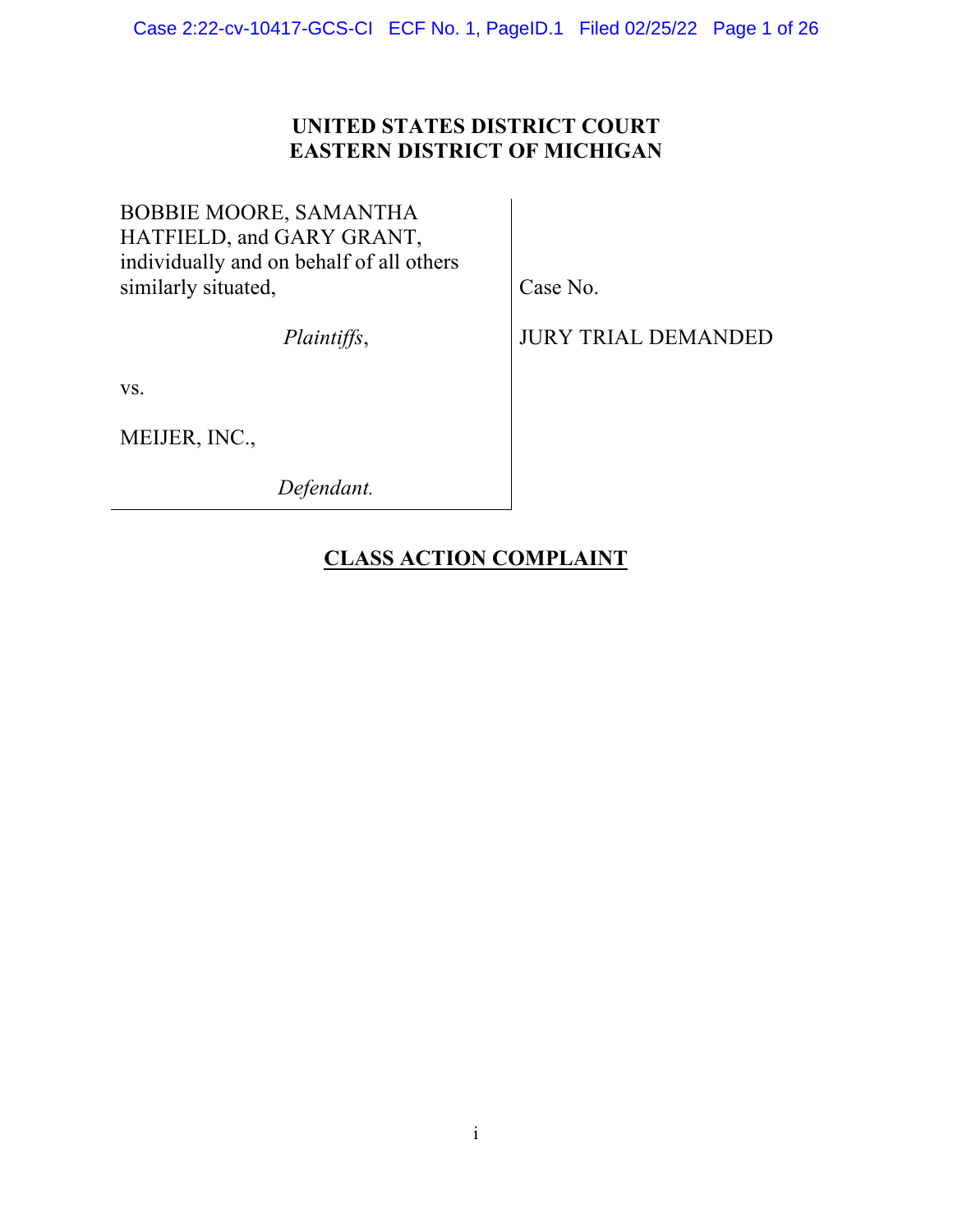### **UNITED STATES DISTRICT COURT EASTERN DISTRICT OF MICHIGAN**

## BOBBIE MOORE, SAMANTHA HATFIELD, and GARY GRANT, individually and on behalf of all others similarly situated,

*Plaintiffs*,

Case No.

JURY TRIAL DEMANDED

vs.

MEIJER, INC.,

*Defendant.* 

## **CLASS ACTION COMPLAINT**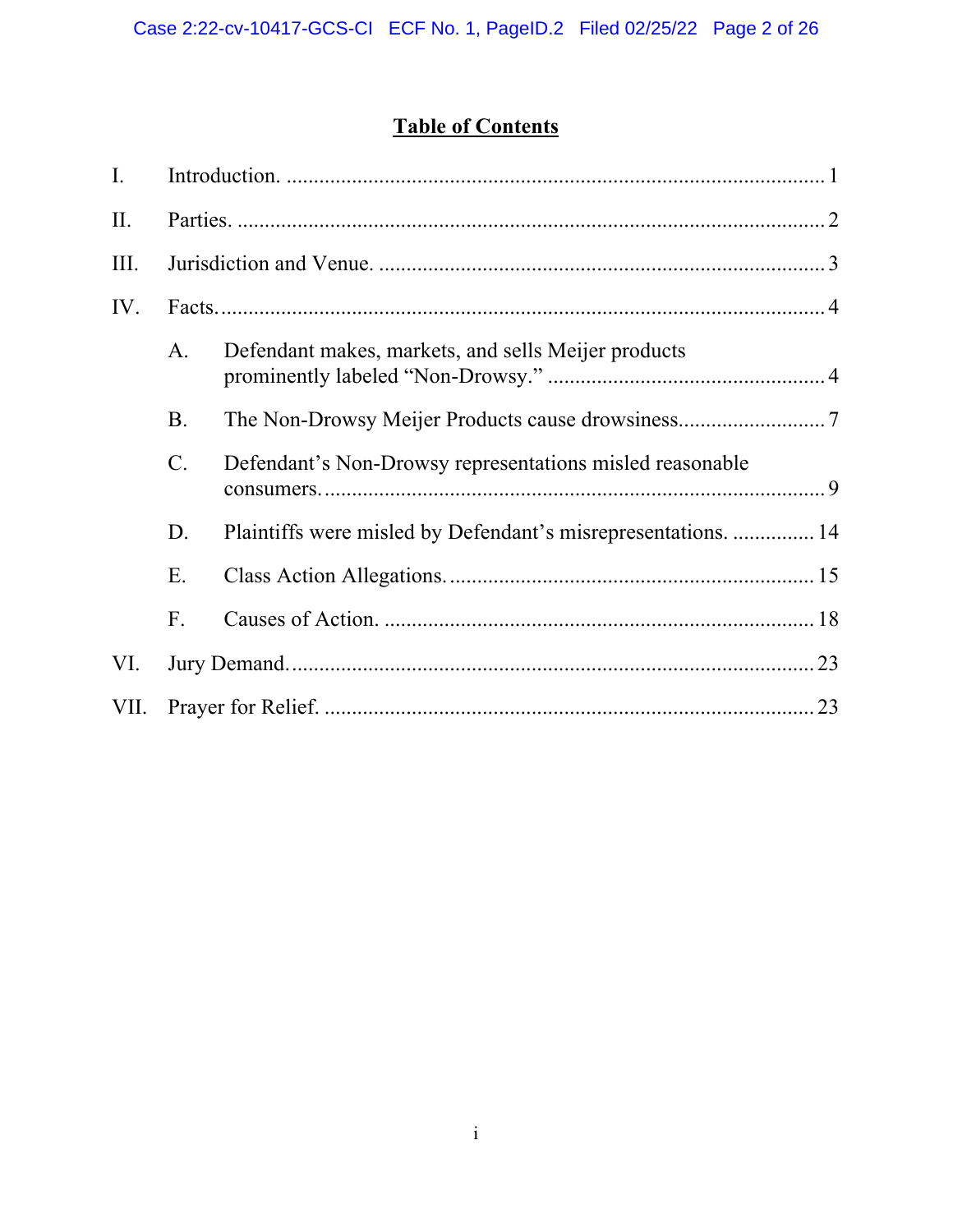# **Table of Contents**

| $\mathbf{I}$ . |                |                                                               |  |  |  |
|----------------|----------------|---------------------------------------------------------------|--|--|--|
| II.            |                |                                                               |  |  |  |
| III.           |                |                                                               |  |  |  |
| IV.            |                |                                                               |  |  |  |
|                | A.             | Defendant makes, markets, and sells Meijer products           |  |  |  |
|                | <b>B.</b>      |                                                               |  |  |  |
|                | $\mathbf{C}$ . | Defendant's Non-Drowsy representations misled reasonable      |  |  |  |
|                | D.             | Plaintiffs were misled by Defendant's misrepresentations.  14 |  |  |  |
|                | Ε.             |                                                               |  |  |  |
|                | F.             |                                                               |  |  |  |
| VI.            |                |                                                               |  |  |  |
| VII.           |                |                                                               |  |  |  |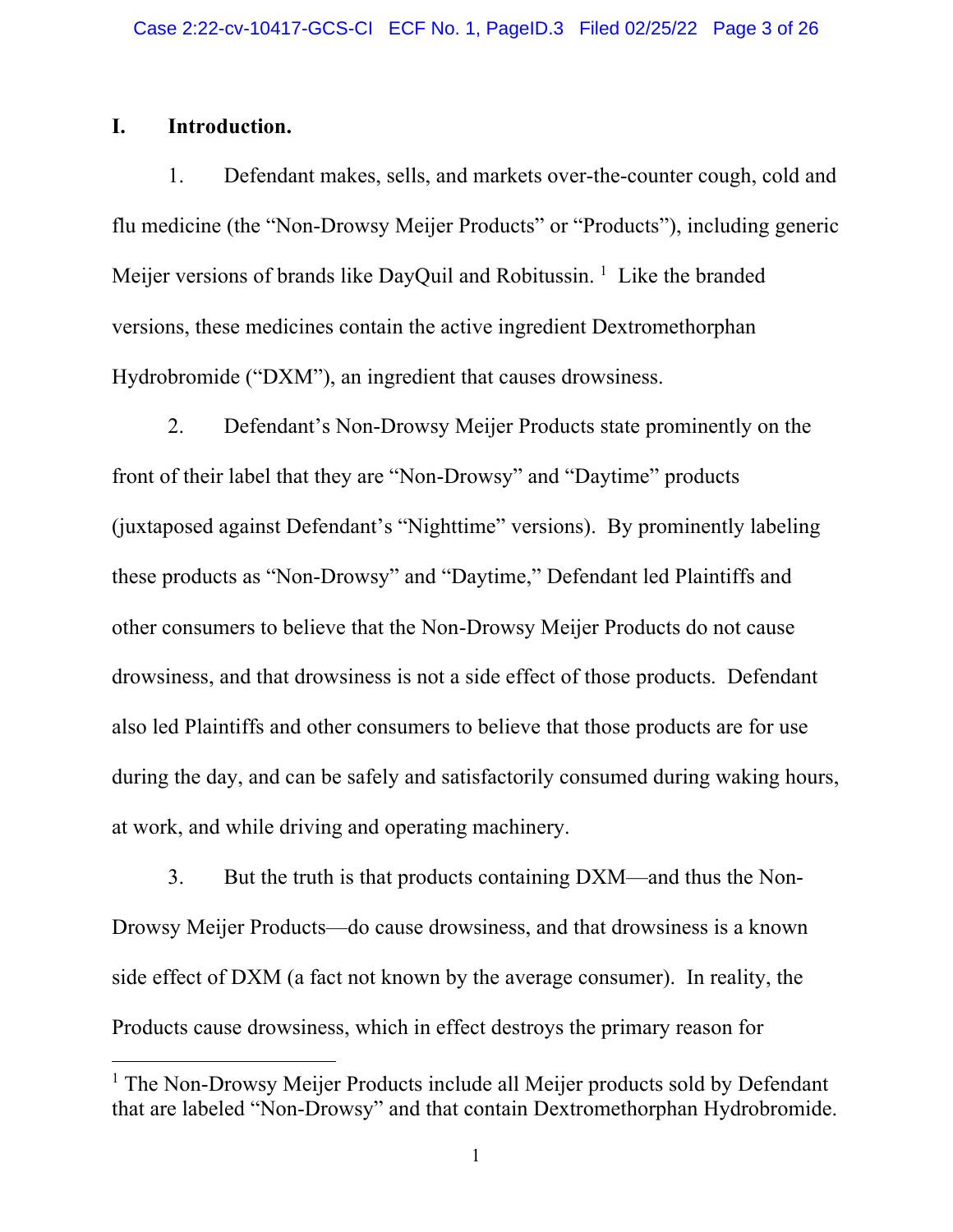### **I. Introduction.**

1. Defendant makes, sells, and markets over-the-counter cough, cold and flu medicine (the "Non-Drowsy Meijer Products" or "Products"), including generic Meijer versions of brands like DayQuil and Robitussin.<sup>1</sup> Like the branded versions, these medicines contain the active ingredient Dextromethorphan Hydrobromide ("DXM"), an ingredient that causes drowsiness.

2. Defendant's Non-Drowsy Meijer Products state prominently on the front of their label that they are "Non-Drowsy" and "Daytime" products (juxtaposed against Defendant's "Nighttime" versions). By prominently labeling these products as "Non-Drowsy" and "Daytime," Defendant led Plaintiffs and other consumers to believe that the Non-Drowsy Meijer Products do not cause drowsiness, and that drowsiness is not a side effect of those products. Defendant also led Plaintiffs and other consumers to believe that those products are for use during the day, and can be safely and satisfactorily consumed during waking hours, at work, and while driving and operating machinery.

3. But the truth is that products containing DXM—and thus the Non-Drowsy Meijer Products—do cause drowsiness, and that drowsiness is a known side effect of DXM (a fact not known by the average consumer). In reality, the Products cause drowsiness, which in effect destroys the primary reason for

<sup>&</sup>lt;sup>1</sup> The Non-Drowsy Meijer Products include all Meijer products sold by Defendant that are labeled "Non-Drowsy" and that contain Dextromethorphan Hydrobromide.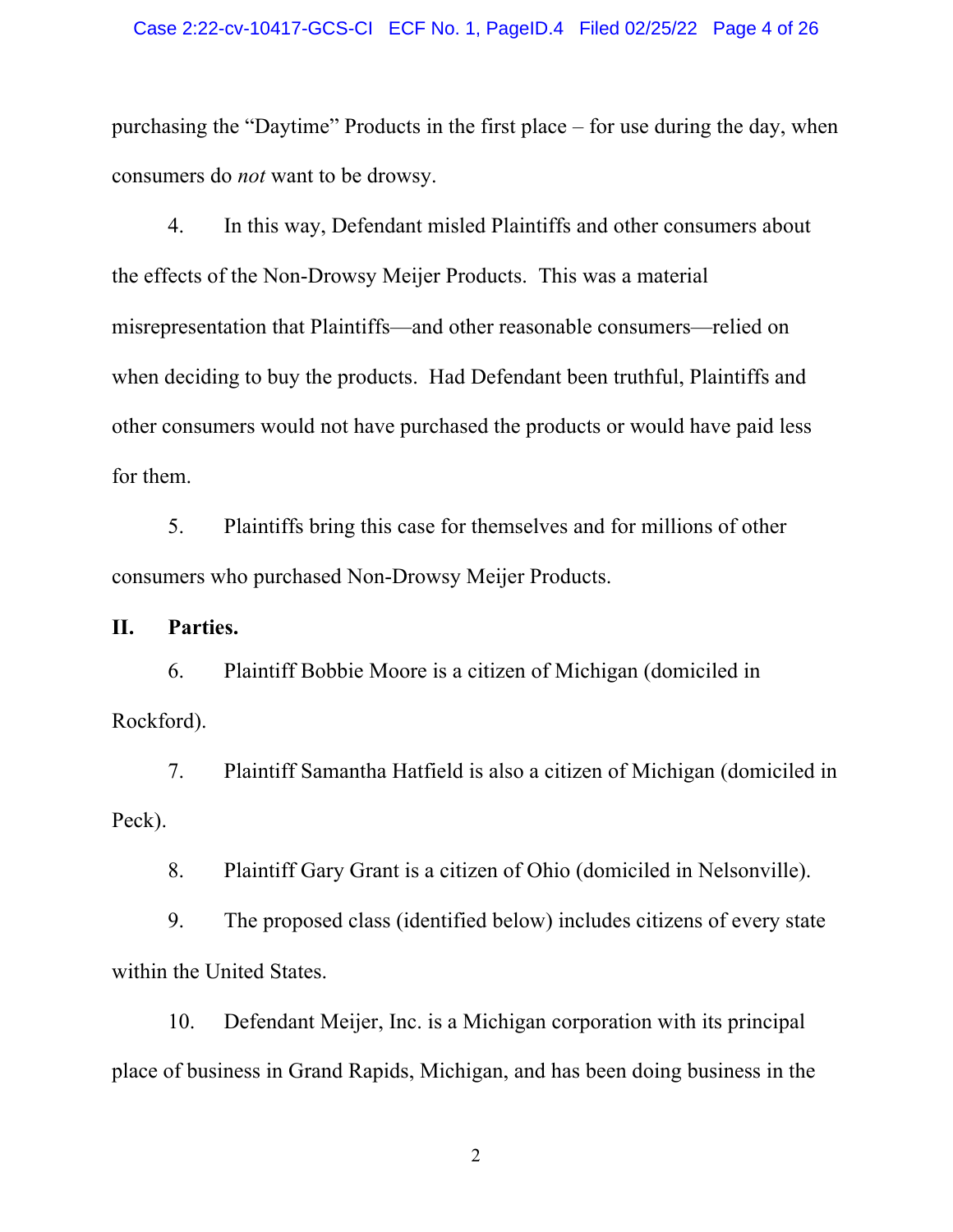#### Case 2:22-cv-10417-GCS-CI ECF No. 1, PageID.4 Filed 02/25/22 Page 4 of 26

purchasing the "Daytime" Products in the first place – for use during the day, when consumers do *not* want to be drowsy.

4. In this way, Defendant misled Plaintiffs and other consumers about the effects of the Non-Drowsy Meijer Products. This was a material misrepresentation that Plaintiffs—and other reasonable consumers—relied on when deciding to buy the products. Had Defendant been truthful, Plaintiffs and other consumers would not have purchased the products or would have paid less for them.

5. Plaintiffs bring this case for themselves and for millions of other consumers who purchased Non-Drowsy Meijer Products.

**II. Parties.** 

6. Plaintiff Bobbie Moore is a citizen of Michigan (domiciled in Rockford).

7. Plaintiff Samantha Hatfield is also a citizen of Michigan (domiciled in Peck).

8. Plaintiff Gary Grant is a citizen of Ohio (domiciled in Nelsonville).

9. The proposed class (identified below) includes citizens of every state within the United States.

10. Defendant Meijer, Inc. is a Michigan corporation with its principal place of business in Grand Rapids, Michigan, and has been doing business in the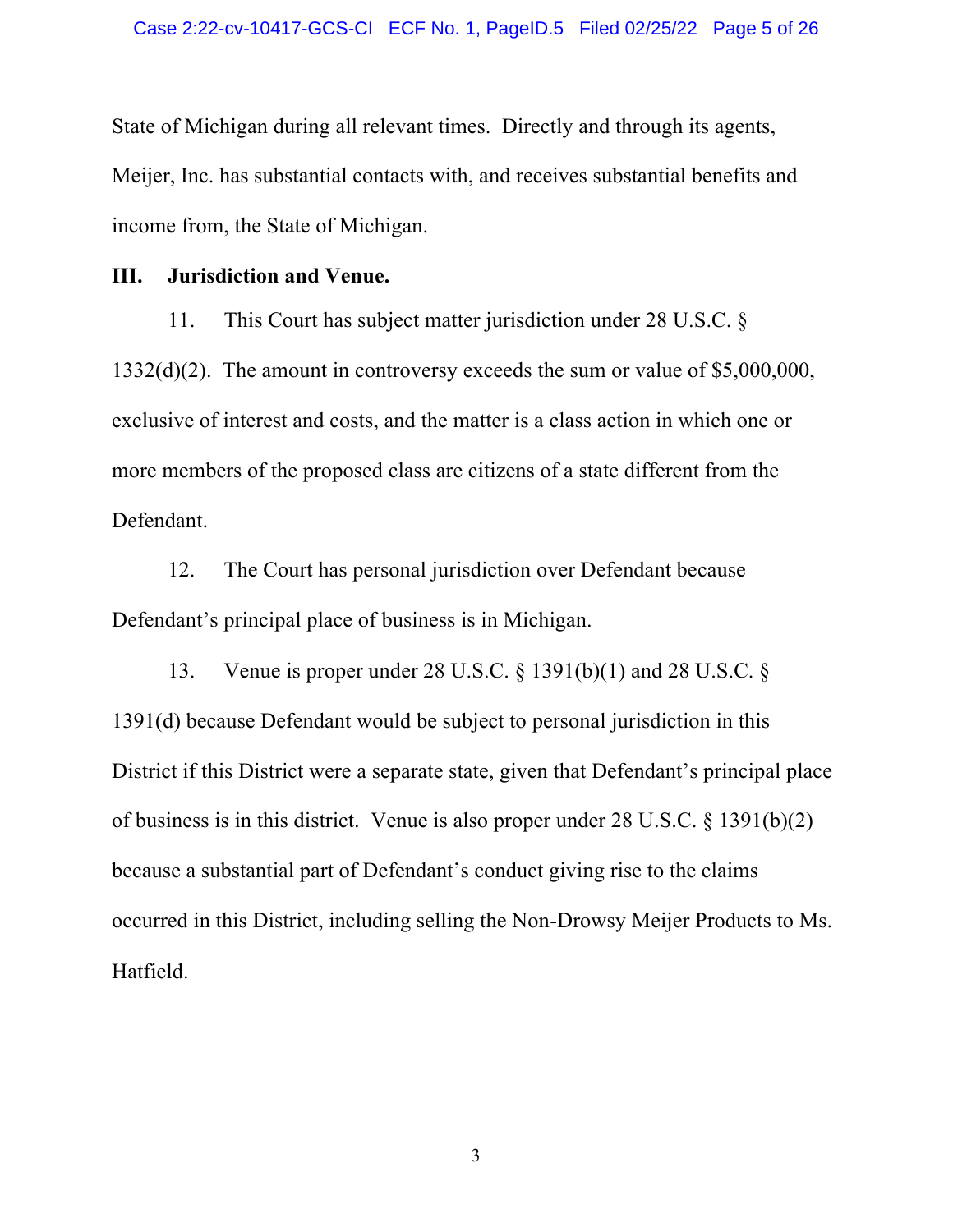State of Michigan during all relevant times. Directly and through its agents, Meijer, Inc. has substantial contacts with, and receives substantial benefits and income from, the State of Michigan.

#### **III. Jurisdiction and Venue.**

11. This Court has subject matter jurisdiction under 28 U.S.C. § 1332(d)(2). The amount in controversy exceeds the sum or value of \$5,000,000, exclusive of interest and costs, and the matter is a class action in which one or more members of the proposed class are citizens of a state different from the Defendant.

12. The Court has personal jurisdiction over Defendant because Defendant's principal place of business is in Michigan.

13. Venue is proper under 28 U.S.C. § 1391(b)(1) and 28 U.S.C. § 1391(d) because Defendant would be subject to personal jurisdiction in this District if this District were a separate state, given that Defendant's principal place of business is in this district. Venue is also proper under 28 U.S.C. § 1391(b)(2) because a substantial part of Defendant's conduct giving rise to the claims occurred in this District, including selling the Non-Drowsy Meijer Products to Ms. Hatfield.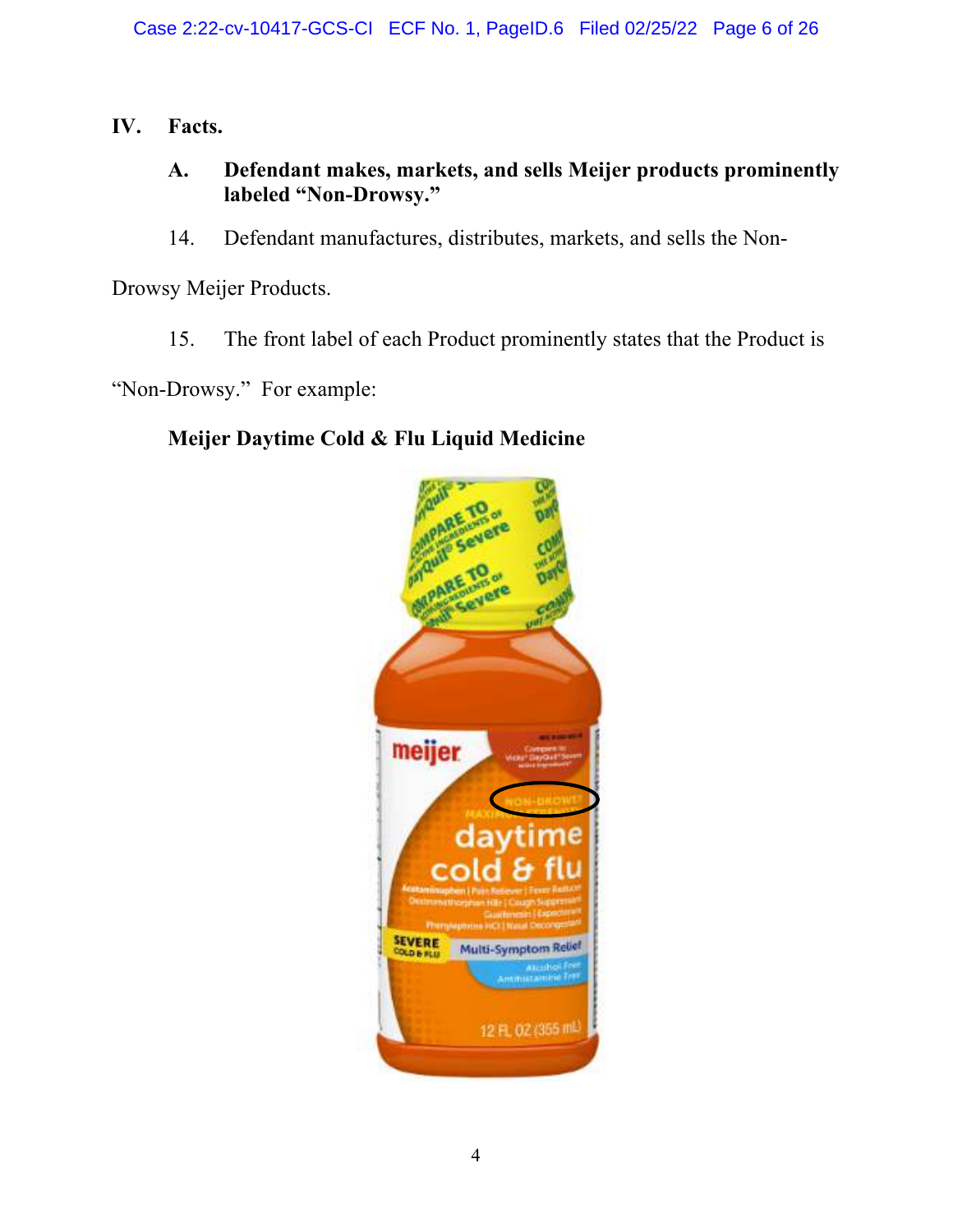**IV. Facts.**

## **A. Defendant makes, markets, and sells Meijer products prominently labeled "Non-Drowsy."**

14. Defendant manufactures, distributes, markets, and sells the Non-

Drowsy Meijer Products.

15. The front label of each Product prominently states that the Product is

"Non-Drowsy." For example:

## **Meijer Daytime Cold & Flu Liquid Medicine**

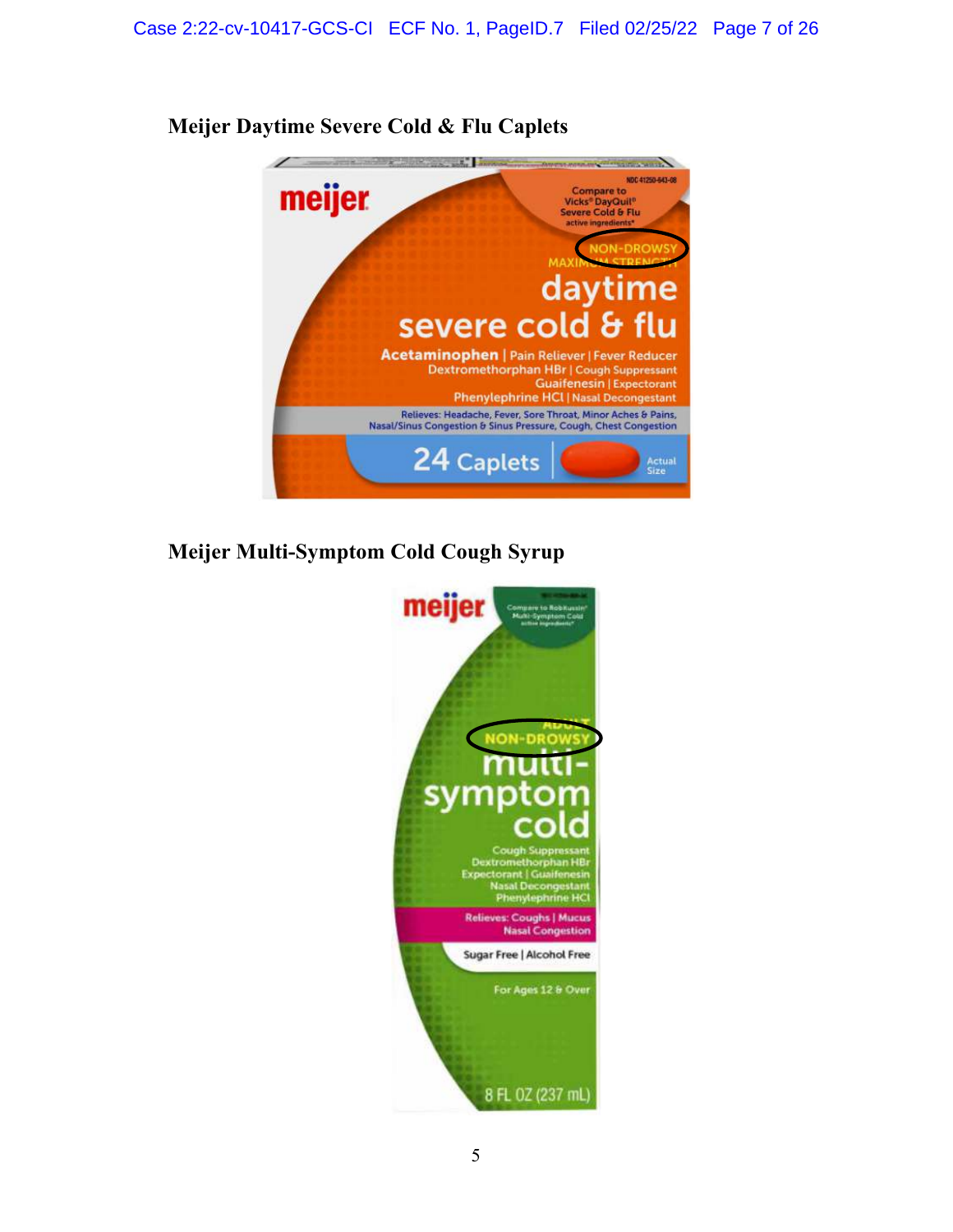

**Meijer Daytime Severe Cold & Flu Caplets**

**Meijer Multi-Symptom Cold Cough Syrup**

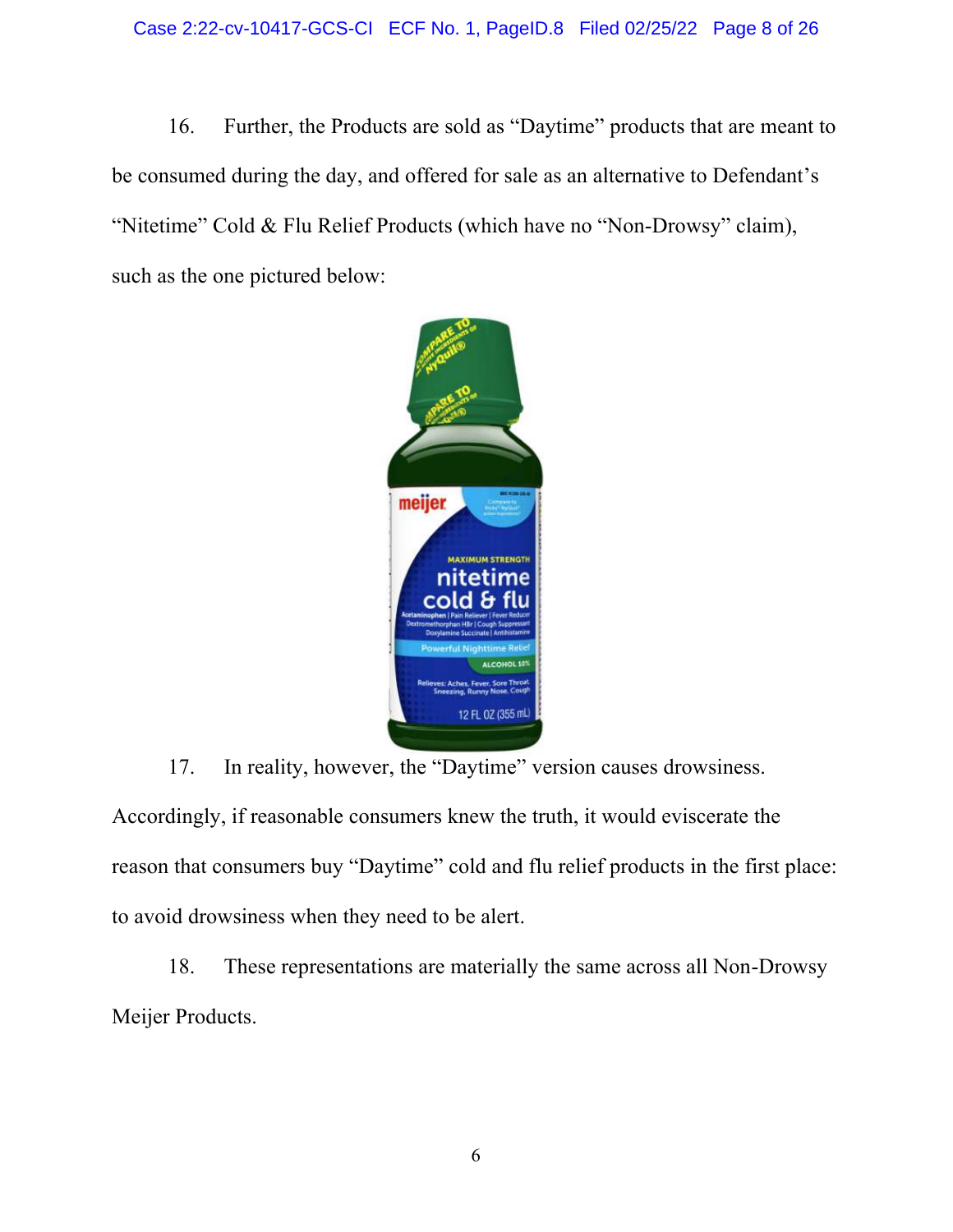16. Further, the Products are sold as "Daytime" products that are meant to be consumed during the day, and offered for sale as an alternative to Defendant's "Nitetime" Cold & Flu Relief Products (which have no "Non-Drowsy" claim), such as the one pictured below:



17. In reality, however, the "Daytime" version causes drowsiness.

Accordingly, if reasonable consumers knew the truth, it would eviscerate the reason that consumers buy "Daytime" cold and flu relief products in the first place: to avoid drowsiness when they need to be alert.

18. These representations are materially the same across all Non-Drowsy Meijer Products.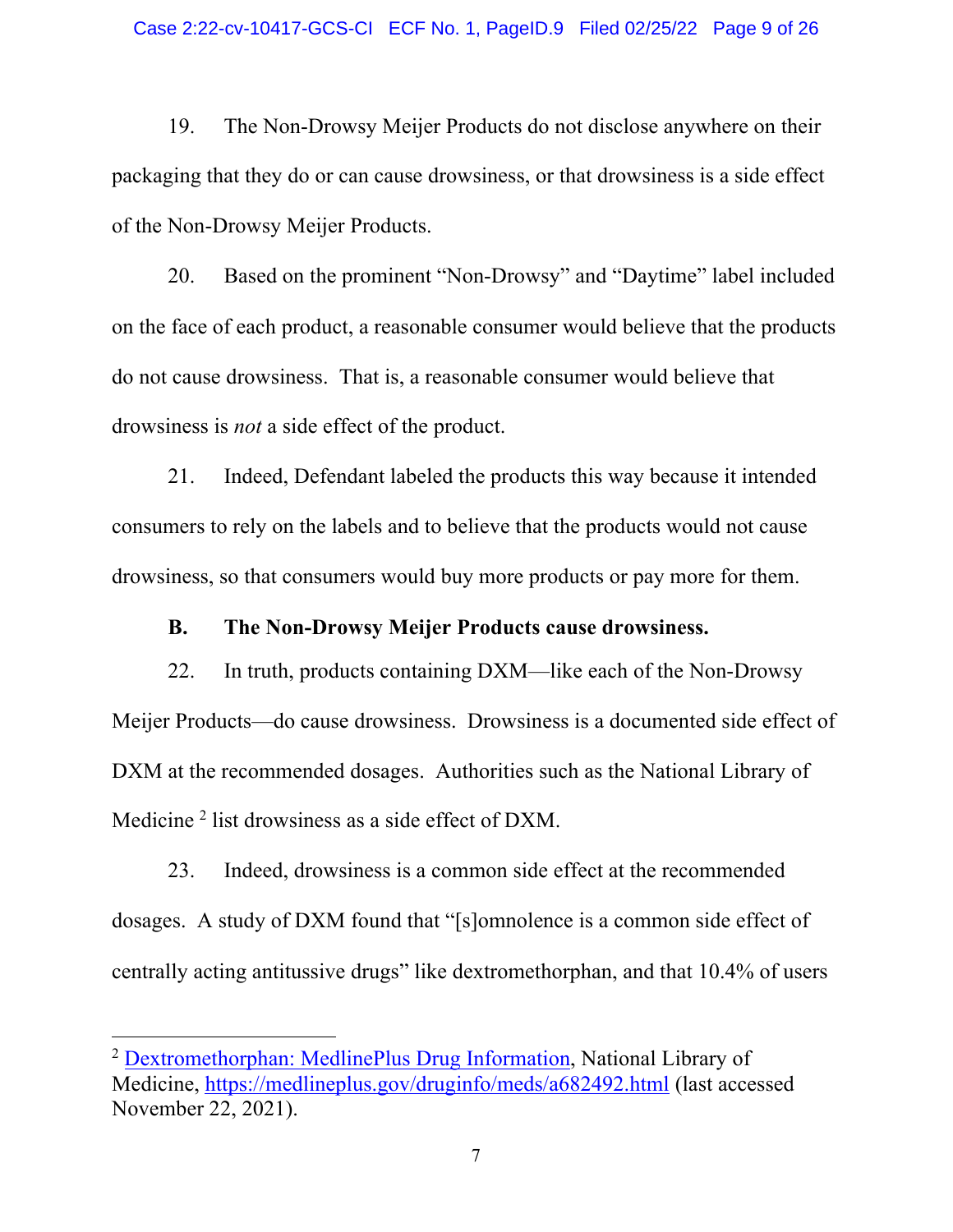19. The Non-Drowsy Meijer Products do not disclose anywhere on their packaging that they do or can cause drowsiness, or that drowsiness is a side effect of the Non-Drowsy Meijer Products.

20. Based on the prominent "Non-Drowsy" and "Daytime" label included on the face of each product, a reasonable consumer would believe that the products do not cause drowsiness. That is, a reasonable consumer would believe that drowsiness is *not* a side effect of the product.

21. Indeed, Defendant labeled the products this way because it intended consumers to rely on the labels and to believe that the products would not cause drowsiness, so that consumers would buy more products or pay more for them.

#### **B. The Non-Drowsy Meijer Products cause drowsiness.**

22. In truth, products containing DXM—like each of the Non-Drowsy Meijer Products—do cause drowsiness. Drowsiness is a documented side effect of DXM at the recommended dosages. Authorities such as the National Library of Medicine<sup>2</sup> list drowsiness as a side effect of DXM.

23. Indeed, drowsiness is a common side effect at the recommended dosages. A study of DXM found that "[s]omnolence is a common side effect of centrally acting antitussive drugs" like dextromethorphan, and that 10.4% of users

<sup>&</sup>lt;sup>2</sup> Dextromethorphan: MedlinePlus Drug Information, National Library of Medicine, https://medlineplus.gov/druginfo/meds/a682492.html (last accessed November 22, 2021).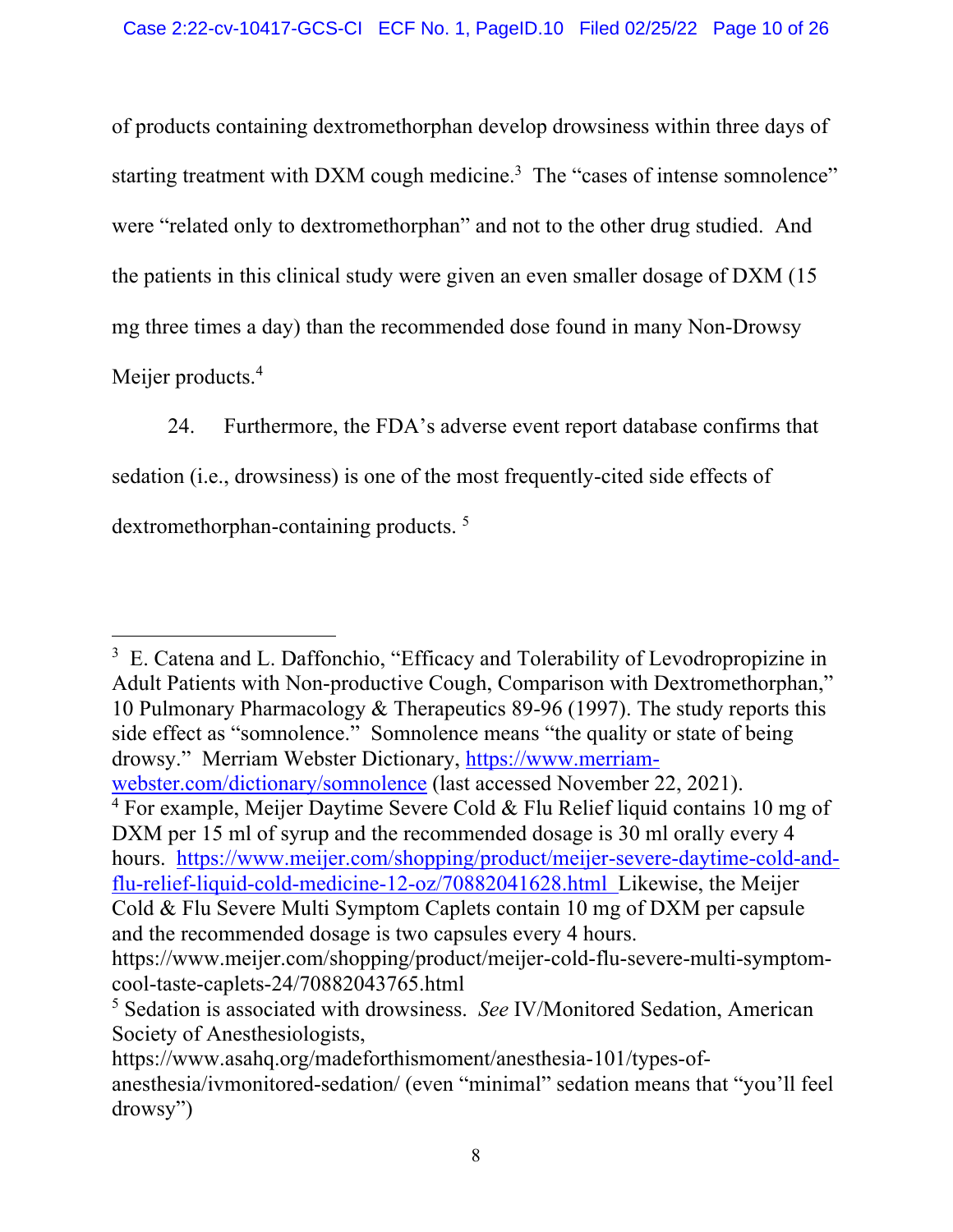of products containing dextromethorphan develop drowsiness within three days of starting treatment with DXM cough medicine.<sup>3</sup> The "cases of intense somnolence" were "related only to dextromethorphan" and not to the other drug studied. And the patients in this clinical study were given an even smaller dosage of DXM (15 mg three times a day) than the recommended dose found in many Non-Drowsy Meijer products.<sup>4</sup>

24. Furthermore, the FDA's adverse event report database confirms that sedation (i.e., drowsiness) is one of the most frequently-cited side effects of dextromethorphan-containing products. <sup>5</sup>

 $4$  For example, Meijer Daytime Severe Cold & Flu Relief liquid contains 10 mg of DXM per 15 ml of syrup and the recommended dosage is 30 ml orally every 4 hours. https://www.meijer.com/shopping/product/meijer-severe-daytime-cold-andflu-relief-liquid-cold-medicine-12-oz/70882041628.html Likewise, the Meijer Cold & Flu Severe Multi Symptom Caplets contain 10 mg of DXM per capsule and the recommended dosage is two capsules every 4 hours.

<sup>&</sup>lt;sup>3</sup> E. Catena and L. Daffonchio, "Efficacy and Tolerability of Levodropropizine in Adult Patients with Non-productive Cough, Comparison with Dextromethorphan," 10 Pulmonary Pharmacology & Therapeutics 89-96 (1997). The study reports this side effect as "somnolence." Somnolence means "the quality or state of being drowsy." Merriam Webster Dictionary, https://www.merriamwebster.com/dictionary/somnolence (last accessed November 22, 2021).

https://www.meijer.com/shopping/product/meijer-cold-flu-severe-multi-symptomcool-taste-caplets-24/70882043765.html

<sup>5</sup> Sedation is associated with drowsiness. *See* IV/Monitored Sedation, American Society of Anesthesiologists,

https://www.asahq.org/madeforthismoment/anesthesia-101/types-ofanesthesia/ivmonitored-sedation/ (even "minimal" sedation means that "you'll feel drowsy")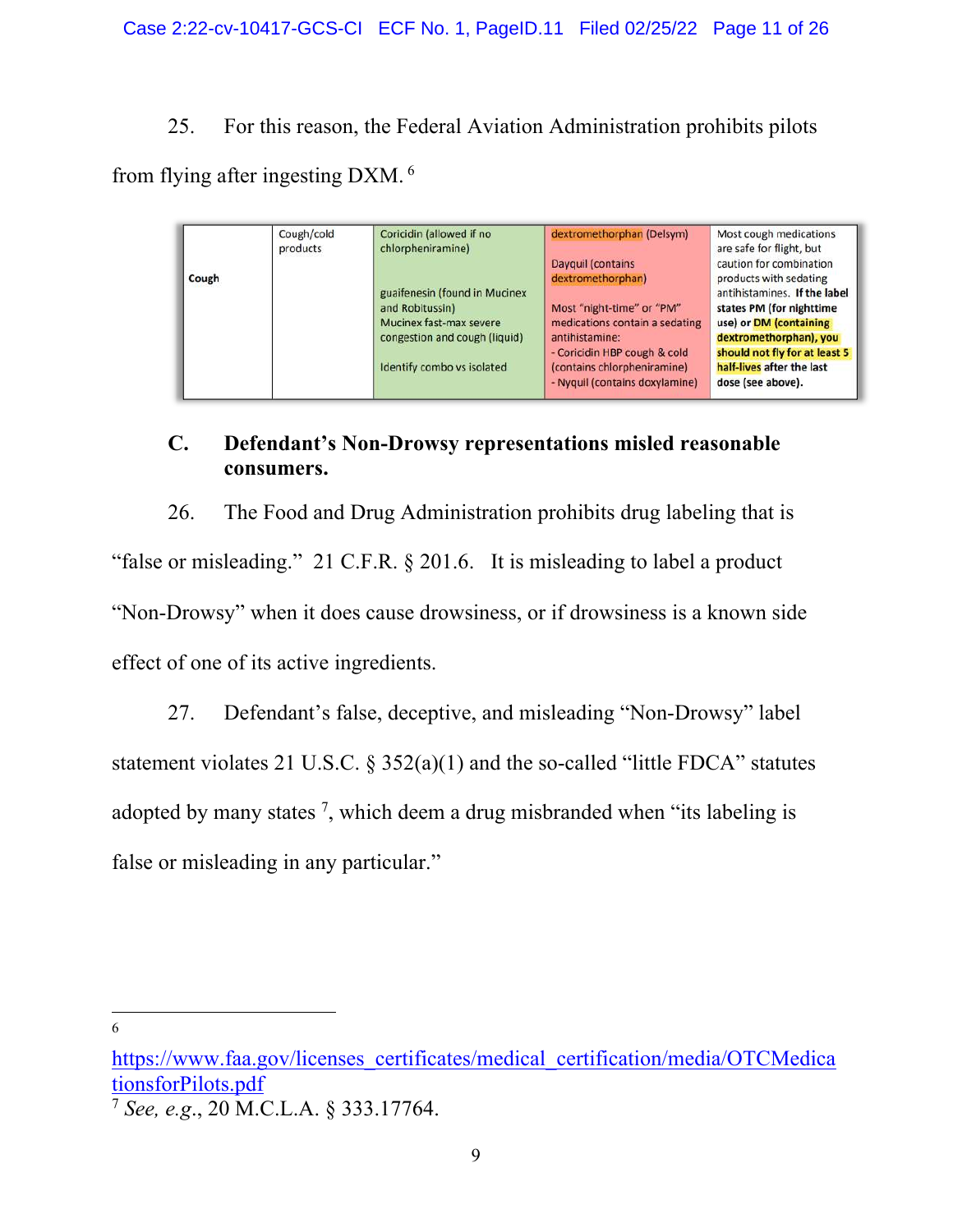25. For this reason, the Federal Aviation Administration prohibits pilots

from flying after ingesting DXM. <sup>6</sup>

| Cough | Cough/cold<br>products | Coricidin (allowed if no<br>chlorpheniramine)<br>guaifenesin (found in Mucinex<br>and Robitussin)<br>Mucinex fast-max severe<br>congestion and cough (liquid)<br>Identify combo vs isolated | dextromethorphan (Delsym)<br>Dayquil (contains<br>dextromethorphan)<br>Most "night-time" or "PM"<br>medications contain a sedating<br>antihistamine:<br>- Coricidin HBP cough & cold<br>(contains chlorpheniramine)<br>- Nyquil (contains doxylamine) | Most cough medications<br>are safe for flight, but<br>caution for combination<br>products with sedating<br>antihistamines. If the label<br>states PM (for nighttime<br>use) or DM (containing<br>dextromethorphan), you<br>should not fly for at least 5<br>half-lives after the last<br>dose (see above). |
|-------|------------------------|---------------------------------------------------------------------------------------------------------------------------------------------------------------------------------------------|-------------------------------------------------------------------------------------------------------------------------------------------------------------------------------------------------------------------------------------------------------|------------------------------------------------------------------------------------------------------------------------------------------------------------------------------------------------------------------------------------------------------------------------------------------------------------|
|-------|------------------------|---------------------------------------------------------------------------------------------------------------------------------------------------------------------------------------------|-------------------------------------------------------------------------------------------------------------------------------------------------------------------------------------------------------------------------------------------------------|------------------------------------------------------------------------------------------------------------------------------------------------------------------------------------------------------------------------------------------------------------------------------------------------------------|

## **C. Defendant's Non-Drowsy representations misled reasonable consumers.**

26. The Food and Drug Administration prohibits drug labeling that is "false or misleading." 21 C.F.R. § 201.6. It is misleading to label a product "Non-Drowsy" when it does cause drowsiness, or if drowsiness is a known side effect of one of its active ingredients.

27. Defendant's false, deceptive, and misleading "Non-Drowsy" label statement violates 21 U.S.C.  $\S$  352(a)(1) and the so-called "little FDCA" statutes adopted by many states  $^7$ , which deem a drug misbranded when "its labeling is false or misleading in any particular."

https://www.faa.gov/licenses\_certificates/medical\_certification/media/OTCMedica tionsforPilots.pdf

<sup>7</sup> *See, e.g*., 20 M.C.L.A. § 333.17764.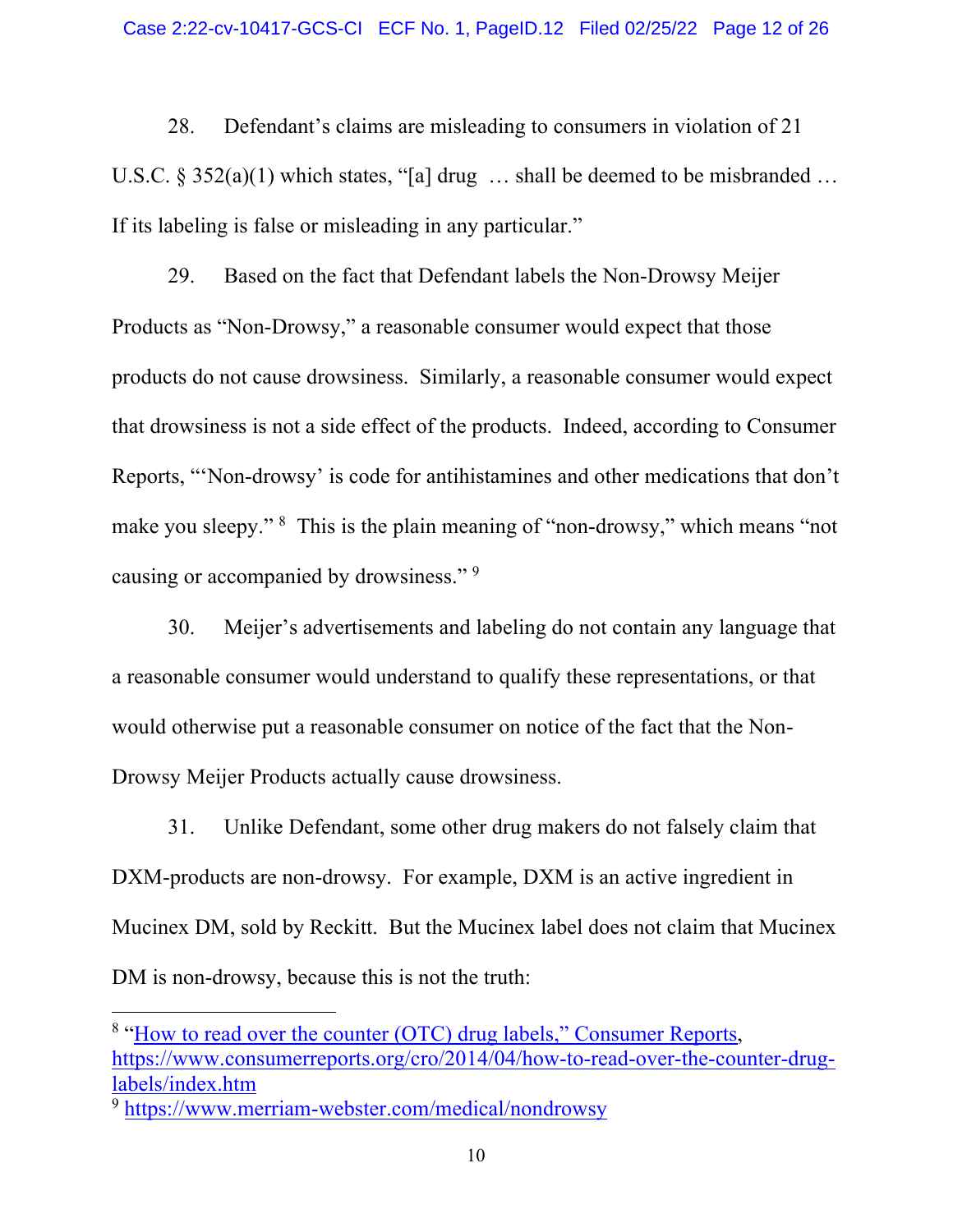28. Defendant's claims are misleading to consumers in violation of 21 U.S.C. § 352(a)(1) which states, "[a] drug ... shall be deemed to be misbranded ... If its labeling is false or misleading in any particular."

29. Based on the fact that Defendant labels the Non-Drowsy Meijer Products as "Non-Drowsy," a reasonable consumer would expect that those products do not cause drowsiness. Similarly, a reasonable consumer would expect that drowsiness is not a side effect of the products. Indeed, according to Consumer Reports, "'Non-drowsy' is code for antihistamines and other medications that don't make you sleepy." <sup>8</sup> This is the plain meaning of "non-drowsy," which means "not causing or accompanied by drowsiness."<sup>9</sup>

30. Meijer's advertisements and labeling do not contain any language that a reasonable consumer would understand to qualify these representations, or that would otherwise put a reasonable consumer on notice of the fact that the Non-Drowsy Meijer Products actually cause drowsiness.

31. Unlike Defendant, some other drug makers do not falsely claim that DXM-products are non-drowsy. For example, DXM is an active ingredient in Mucinex DM, sold by Reckitt. But the Mucinex label does not claim that Mucinex DM is non-drowsy, because this is not the truth:

<sup>&</sup>lt;sup>8</sup> "How to read over the counter (OTC) drug labels," Consumer Reports, https://www.consumerreports.org/cro/2014/04/how-to-read-over-the-counter-druglabels/index.htm

<sup>9</sup> https://www.merriam-webster.com/medical/nondrowsy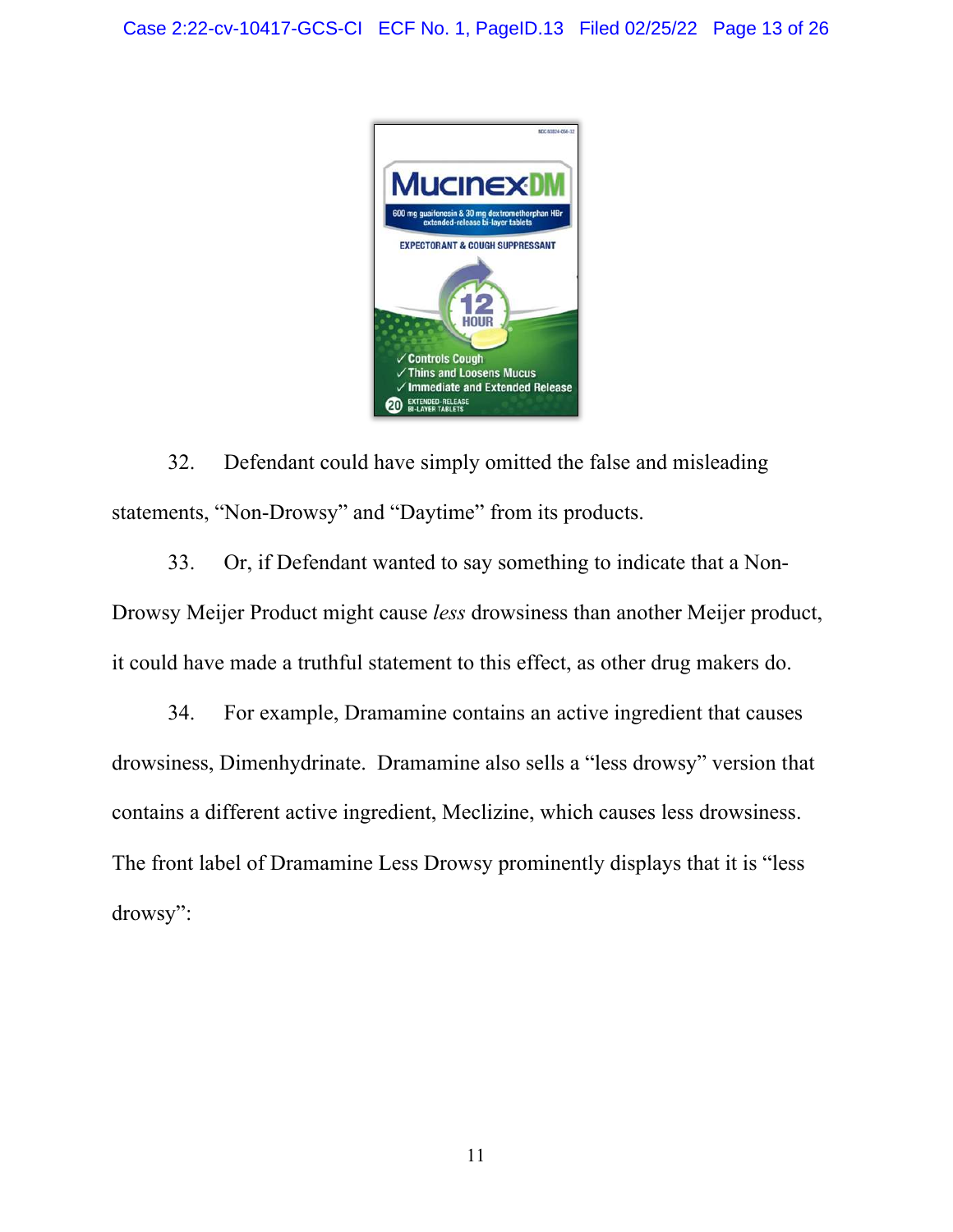

32. Defendant could have simply omitted the false and misleading statements, "Non-Drowsy" and "Daytime" from its products.

33. Or, if Defendant wanted to say something to indicate that a Non-Drowsy Meijer Product might cause *less* drowsiness than another Meijer product, it could have made a truthful statement to this effect, as other drug makers do.

34. For example, Dramamine contains an active ingredient that causes drowsiness, Dimenhydrinate. Dramamine also sells a "less drowsy" version that contains a different active ingredient, Meclizine, which causes less drowsiness. The front label of Dramamine Less Drowsy prominently displays that it is "less drowsy":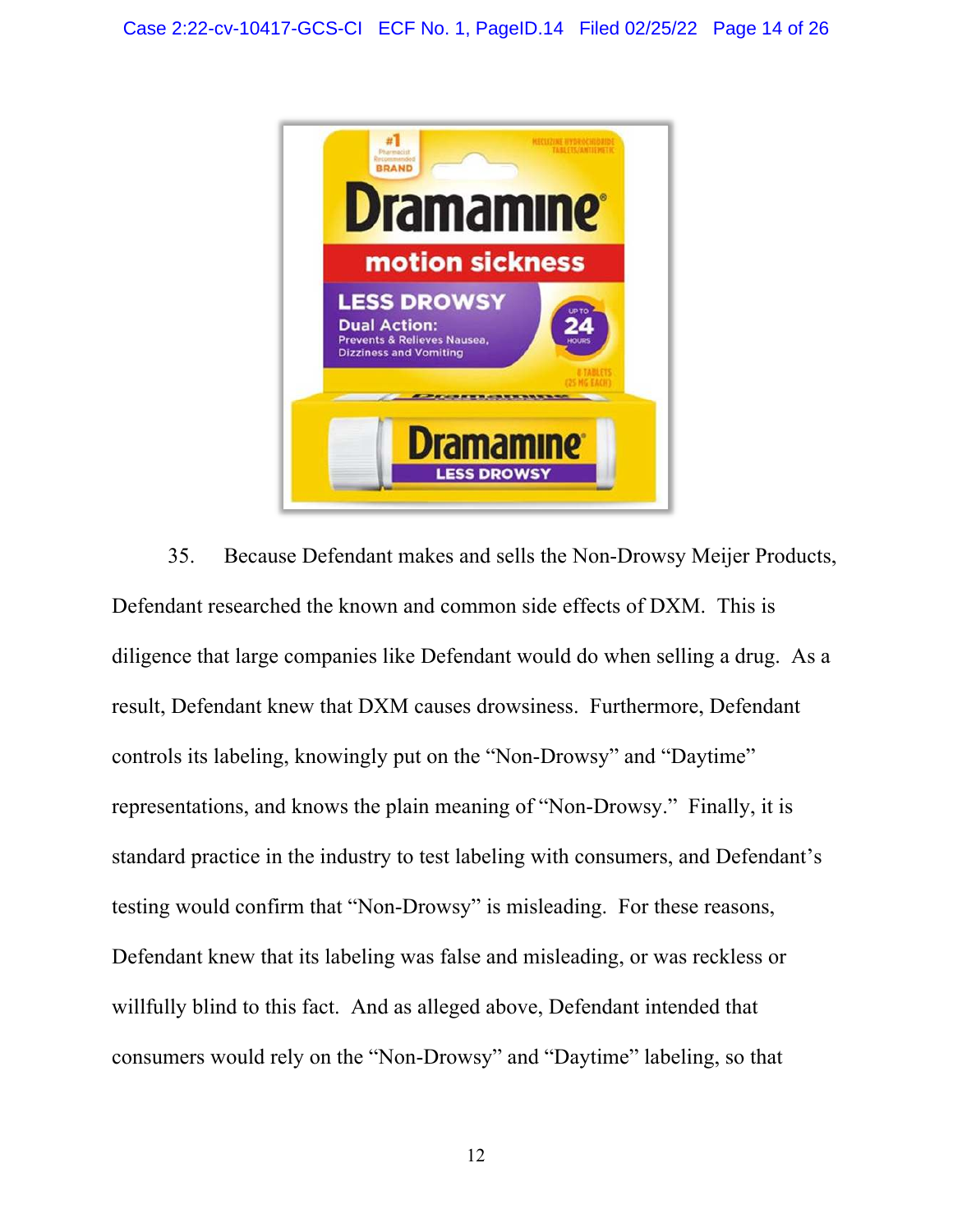

35. Because Defendant makes and sells the Non-Drowsy Meijer Products, Defendant researched the known and common side effects of DXM. This is diligence that large companies like Defendant would do when selling a drug. As a result, Defendant knew that DXM causes drowsiness. Furthermore, Defendant controls its labeling, knowingly put on the "Non-Drowsy" and "Daytime" representations, and knows the plain meaning of "Non-Drowsy." Finally, it is standard practice in the industry to test labeling with consumers, and Defendant's testing would confirm that "Non-Drowsy" is misleading. For these reasons, Defendant knew that its labeling was false and misleading, or was reckless or willfully blind to this fact. And as alleged above, Defendant intended that consumers would rely on the "Non-Drowsy" and "Daytime" labeling, so that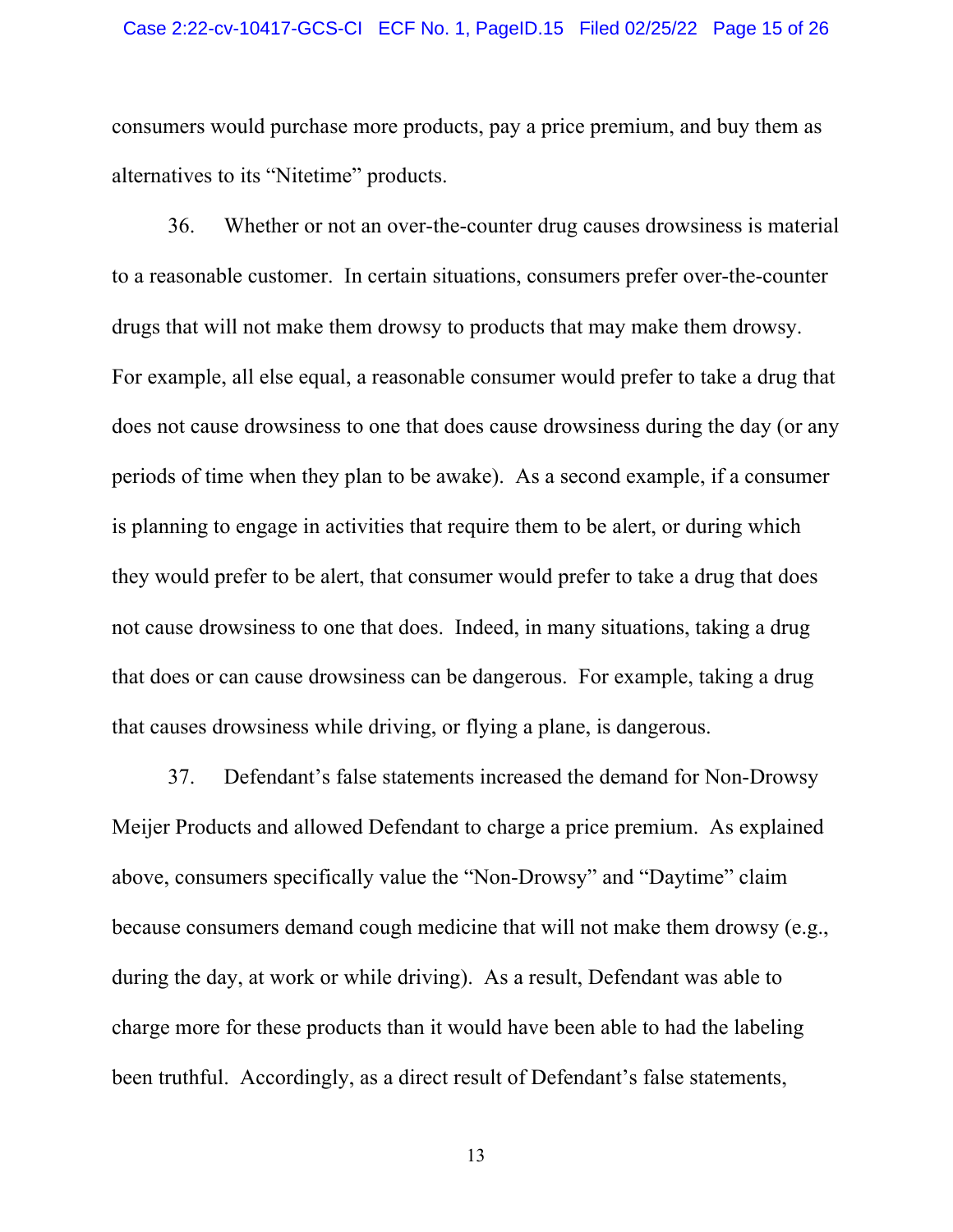#### Case 2:22-cv-10417-GCS-CI ECF No. 1, PageID.15 Filed 02/25/22 Page 15 of 26

consumers would purchase more products, pay a price premium, and buy them as alternatives to its "Nitetime" products.

36. Whether or not an over-the-counter drug causes drowsiness is material to a reasonable customer. In certain situations, consumers prefer over-the-counter drugs that will not make them drowsy to products that may make them drowsy. For example, all else equal, a reasonable consumer would prefer to take a drug that does not cause drowsiness to one that does cause drowsiness during the day (or any periods of time when they plan to be awake). As a second example, if a consumer is planning to engage in activities that require them to be alert, or during which they would prefer to be alert, that consumer would prefer to take a drug that does not cause drowsiness to one that does. Indeed, in many situations, taking a drug that does or can cause drowsiness can be dangerous. For example, taking a drug that causes drowsiness while driving, or flying a plane, is dangerous.

37. Defendant's false statements increased the demand for Non-Drowsy Meijer Products and allowed Defendant to charge a price premium. As explained above, consumers specifically value the "Non-Drowsy" and "Daytime" claim because consumers demand cough medicine that will not make them drowsy (e.g., during the day, at work or while driving). As a result, Defendant was able to charge more for these products than it would have been able to had the labeling been truthful. Accordingly, as a direct result of Defendant's false statements,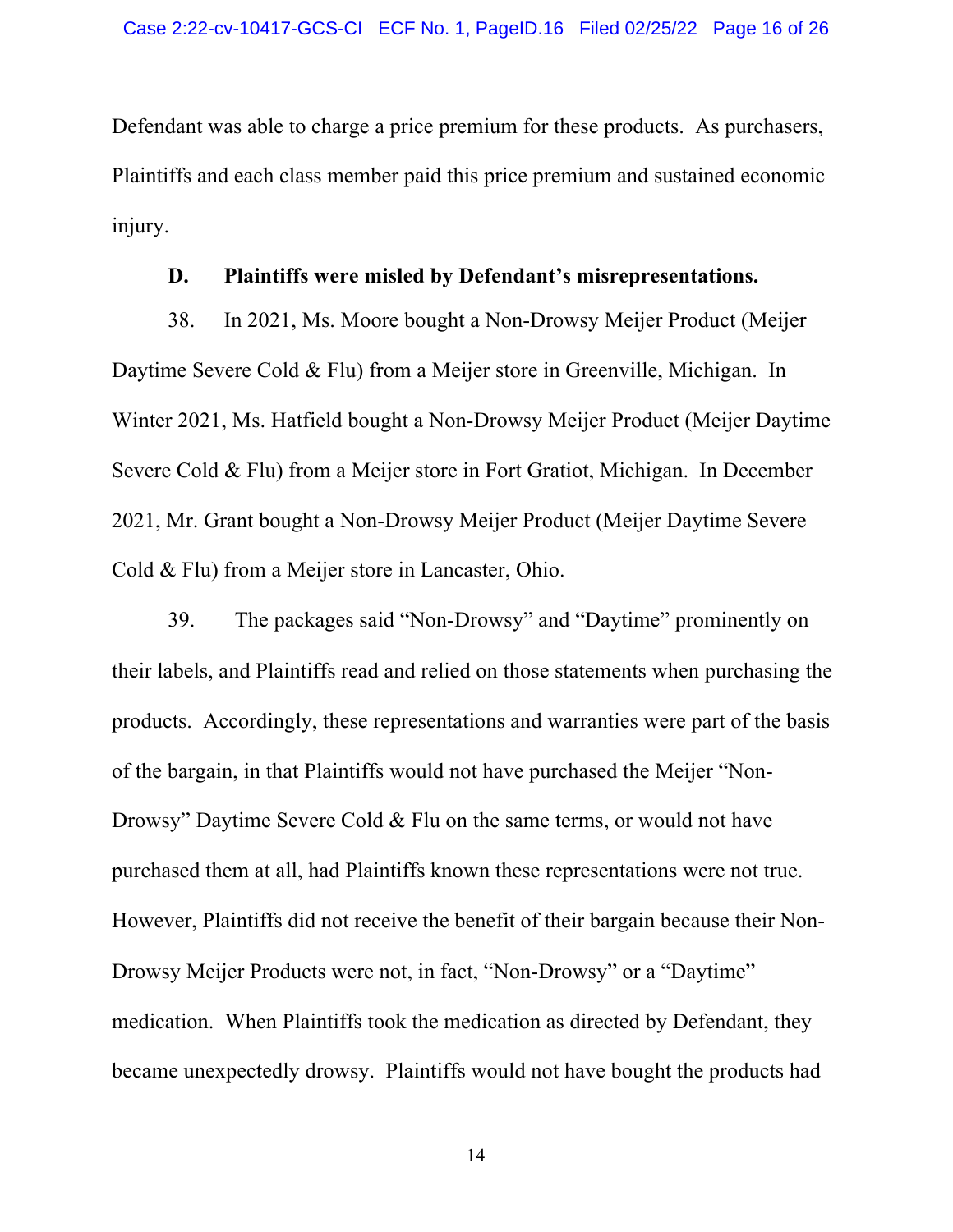Defendant was able to charge a price premium for these products. As purchasers, Plaintiffs and each class member paid this price premium and sustained economic injury.

### **D. Plaintiffs were misled by Defendant's misrepresentations.**

38. In 2021, Ms. Moore bought a Non-Drowsy Meijer Product (Meijer Daytime Severe Cold & Flu) from a Meijer store in Greenville, Michigan. In Winter 2021, Ms. Hatfield bought a Non-Drowsy Meijer Product (Meijer Daytime Severe Cold & Flu) from a Meijer store in Fort Gratiot, Michigan. In December 2021, Mr. Grant bought a Non-Drowsy Meijer Product (Meijer Daytime Severe Cold & Flu) from a Meijer store in Lancaster, Ohio.

39. The packages said "Non-Drowsy" and "Daytime" prominently on their labels, and Plaintiffs read and relied on those statements when purchasing the products. Accordingly, these representations and warranties were part of the basis of the bargain, in that Plaintiffs would not have purchased the Meijer "Non-Drowsy" Daytime Severe Cold & Flu on the same terms, or would not have purchased them at all, had Plaintiffs known these representations were not true. However, Plaintiffs did not receive the benefit of their bargain because their Non-Drowsy Meijer Products were not, in fact, "Non-Drowsy" or a "Daytime" medication. When Plaintiffs took the medication as directed by Defendant, they became unexpectedly drowsy. Plaintiffs would not have bought the products had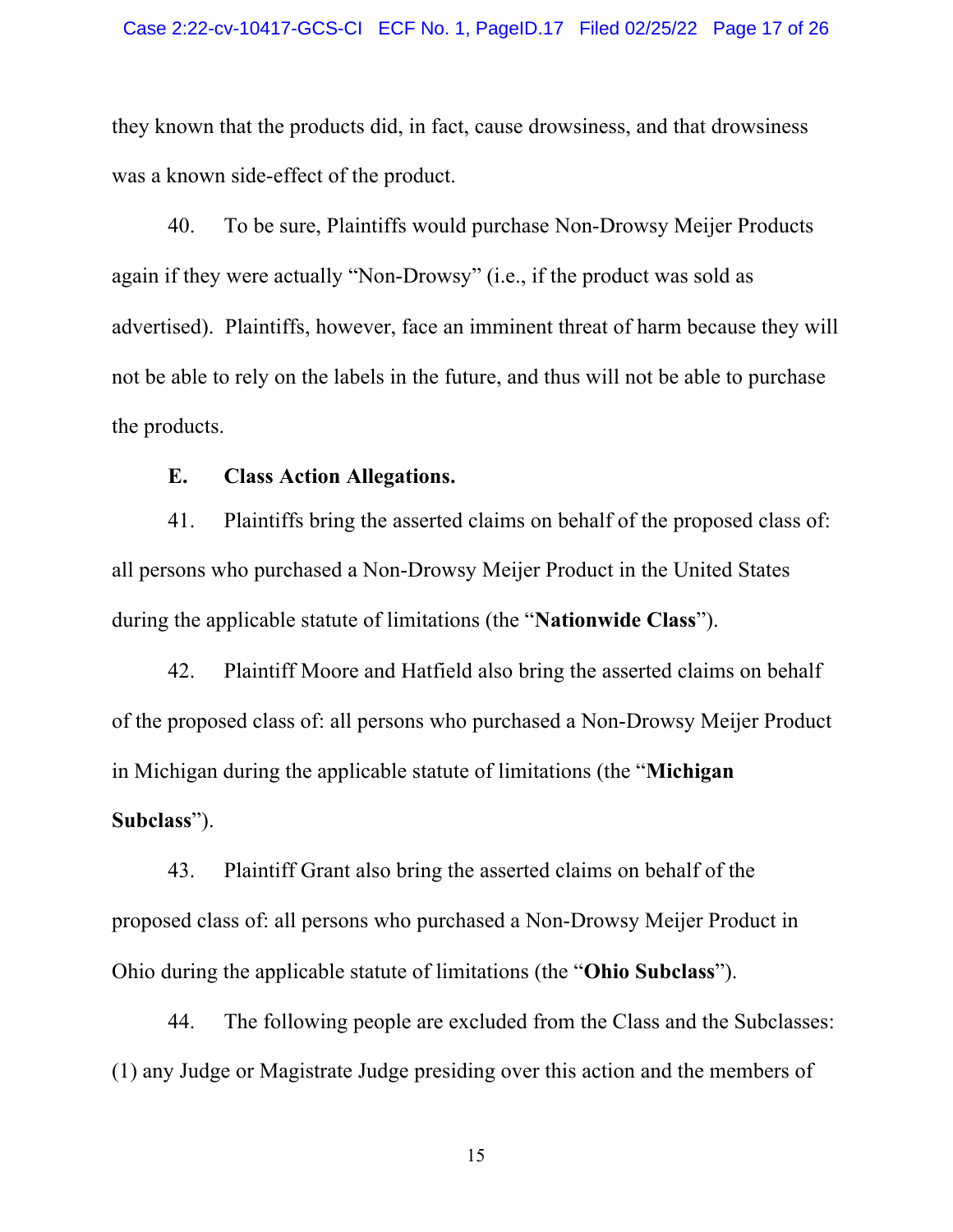they known that the products did, in fact, cause drowsiness, and that drowsiness was a known side-effect of the product.

40. To be sure, Plaintiffs would purchase Non-Drowsy Meijer Products again if they were actually "Non-Drowsy" (i.e., if the product was sold as advertised). Plaintiffs, however, face an imminent threat of harm because they will not be able to rely on the labels in the future, and thus will not be able to purchase the products.

### **E. Class Action Allegations.**

41. Plaintiffs bring the asserted claims on behalf of the proposed class of: all persons who purchased a Non-Drowsy Meijer Product in the United States during the applicable statute of limitations (the "**Nationwide Class**").

42. Plaintiff Moore and Hatfield also bring the asserted claims on behalf of the proposed class of: all persons who purchased a Non-Drowsy Meijer Product in Michigan during the applicable statute of limitations (the "**Michigan Subclass**").

43. Plaintiff Grant also bring the asserted claims on behalf of the proposed class of: all persons who purchased a Non-Drowsy Meijer Product in Ohio during the applicable statute of limitations (the "**Ohio Subclass**").

44. The following people are excluded from the Class and the Subclasses: (1) any Judge or Magistrate Judge presiding over this action and the members of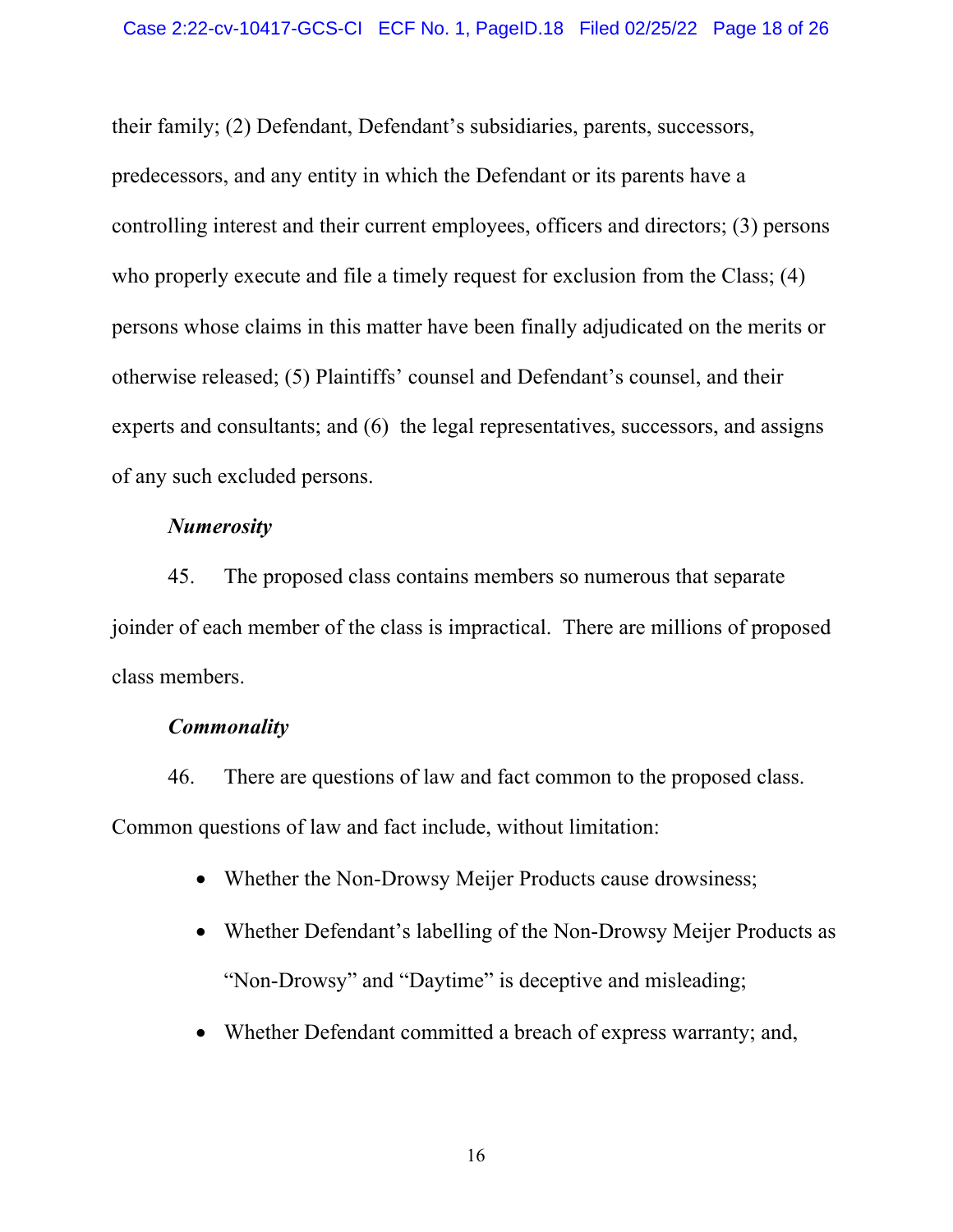their family; (2) Defendant, Defendant's subsidiaries, parents, successors, predecessors, and any entity in which the Defendant or its parents have a controlling interest and their current employees, officers and directors; (3) persons who properly execute and file a timely request for exclusion from the Class; (4) persons whose claims in this matter have been finally adjudicated on the merits or otherwise released; (5) Plaintiffs' counsel and Defendant's counsel, and their experts and consultants; and (6) the legal representatives, successors, and assigns of any such excluded persons.

#### *Numerosity*

45. The proposed class contains members so numerous that separate joinder of each member of the class is impractical. There are millions of proposed class members.

#### *Commonality*

46. There are questions of law and fact common to the proposed class. Common questions of law and fact include, without limitation:

- Whether the Non-Drowsy Meijer Products cause drowsiness;
- Whether Defendant's labelling of the Non-Drowsy Meijer Products as "Non-Drowsy" and "Daytime" is deceptive and misleading;
- Whether Defendant committed a breach of express warranty; and,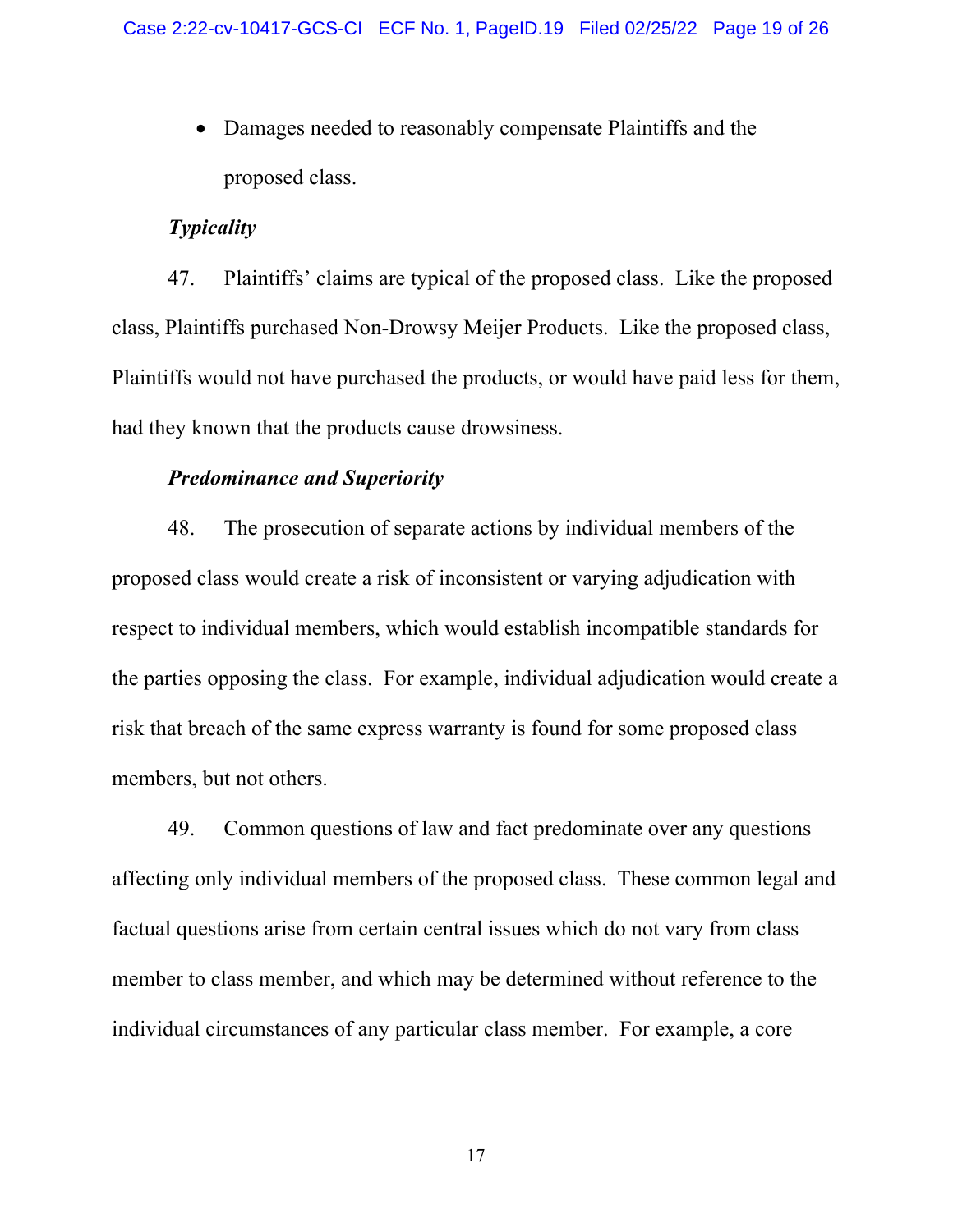• Damages needed to reasonably compensate Plaintiffs and the proposed class.

### *Typicality*

47. Plaintiffs' claims are typical of the proposed class. Like the proposed class, Plaintiffs purchased Non-Drowsy Meijer Products. Like the proposed class, Plaintiffs would not have purchased the products, or would have paid less for them, had they known that the products cause drowsiness.

#### *Predominance and Superiority*

48. The prosecution of separate actions by individual members of the proposed class would create a risk of inconsistent or varying adjudication with respect to individual members, which would establish incompatible standards for the parties opposing the class. For example, individual adjudication would create a risk that breach of the same express warranty is found for some proposed class members, but not others.

49. Common questions of law and fact predominate over any questions affecting only individual members of the proposed class. These common legal and factual questions arise from certain central issues which do not vary from class member to class member, and which may be determined without reference to the individual circumstances of any particular class member. For example, a core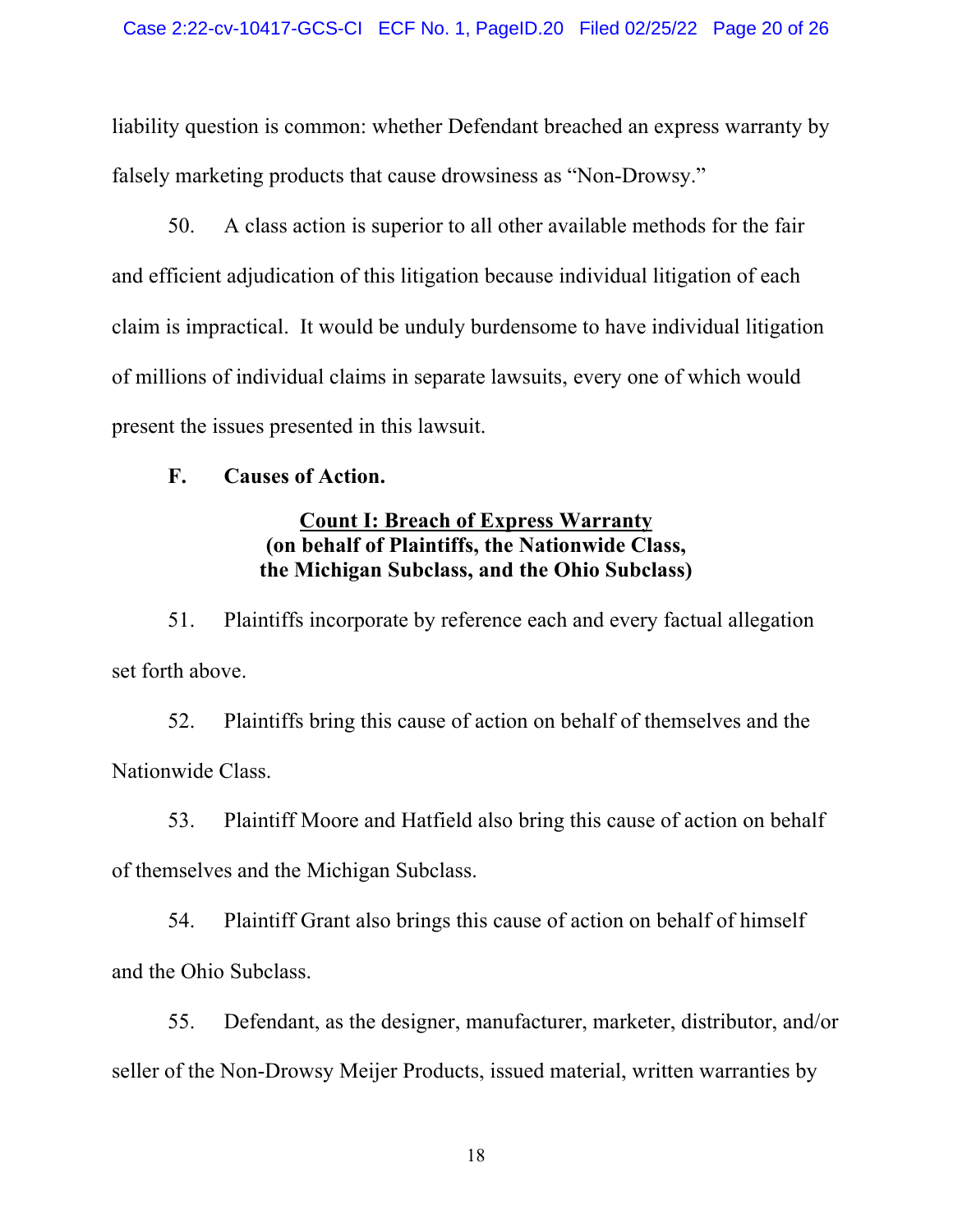liability question is common: whether Defendant breached an express warranty by falsely marketing products that cause drowsiness as "Non-Drowsy."

50. A class action is superior to all other available methods for the fair and efficient adjudication of this litigation because individual litigation of each claim is impractical. It would be unduly burdensome to have individual litigation of millions of individual claims in separate lawsuits, every one of which would present the issues presented in this lawsuit.

### **F. Causes of Action.**

## **Count I: Breach of Express Warranty (on behalf of Plaintiffs, the Nationwide Class, the Michigan Subclass, and the Ohio Subclass)**

51. Plaintiffs incorporate by reference each and every factual allegation set forth above.

52. Plaintiffs bring this cause of action on behalf of themselves and the Nationwide Class.

53. Plaintiff Moore and Hatfield also bring this cause of action on behalf of themselves and the Michigan Subclass.

54. Plaintiff Grant also brings this cause of action on behalf of himself and the Ohio Subclass.

55. Defendant, as the designer, manufacturer, marketer, distributor, and/or seller of the Non-Drowsy Meijer Products, issued material, written warranties by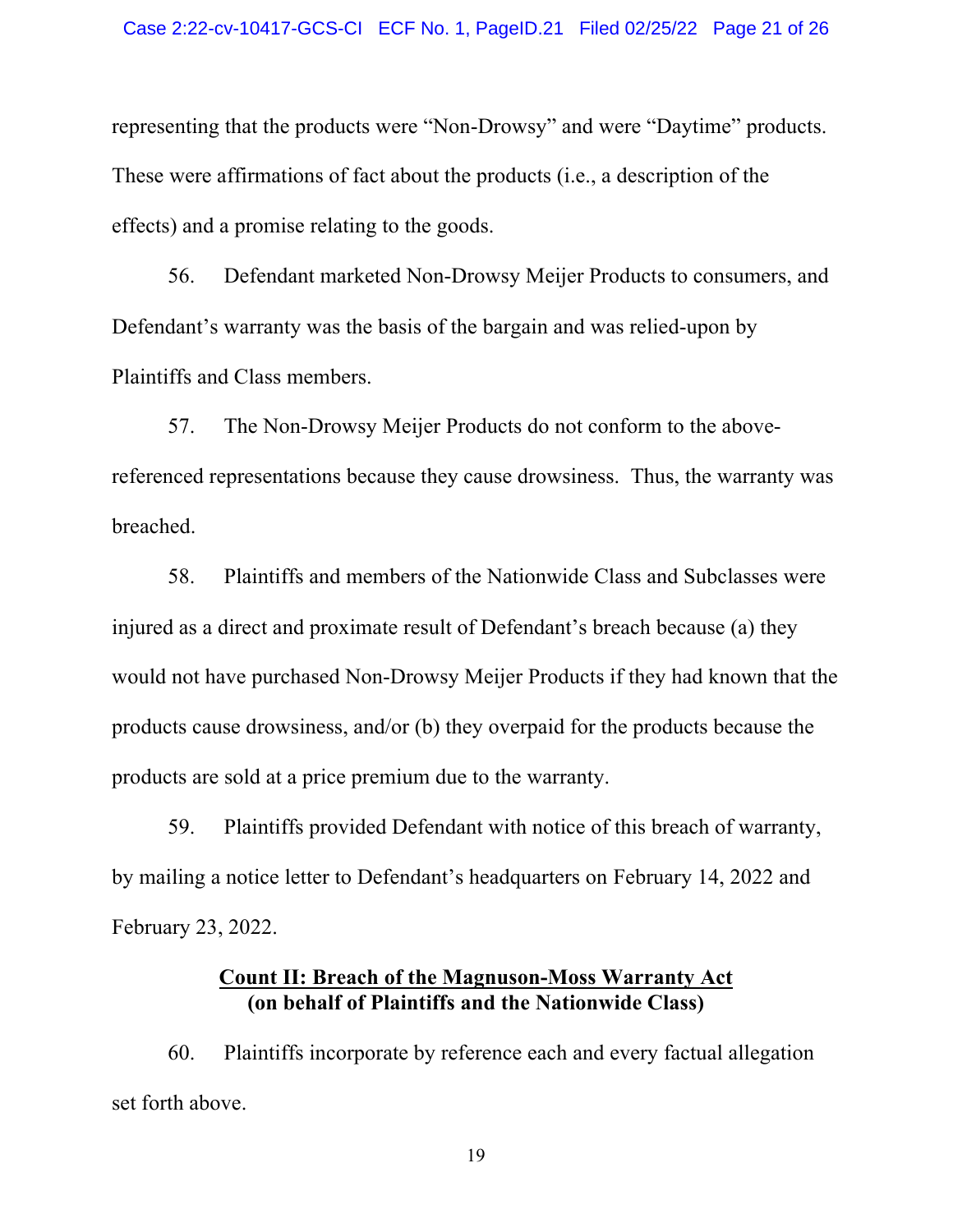representing that the products were "Non-Drowsy" and were "Daytime" products. These were affirmations of fact about the products (i.e., a description of the effects) and a promise relating to the goods.

56. Defendant marketed Non-Drowsy Meijer Products to consumers, and Defendant's warranty was the basis of the bargain and was relied-upon by Plaintiffs and Class members.

57. The Non-Drowsy Meijer Products do not conform to the abovereferenced representations because they cause drowsiness. Thus, the warranty was breached.

58. Plaintiffs and members of the Nationwide Class and Subclasses were injured as a direct and proximate result of Defendant's breach because (a) they would not have purchased Non-Drowsy Meijer Products if they had known that the products cause drowsiness, and/or (b) they overpaid for the products because the products are sold at a price premium due to the warranty.

59. Plaintiffs provided Defendant with notice of this breach of warranty, by mailing a notice letter to Defendant's headquarters on February 14, 2022 and February 23, 2022.

### **Count II: Breach of the Magnuson-Moss Warranty Act (on behalf of Plaintiffs and the Nationwide Class)**

60. Plaintiffs incorporate by reference each and every factual allegation set forth above.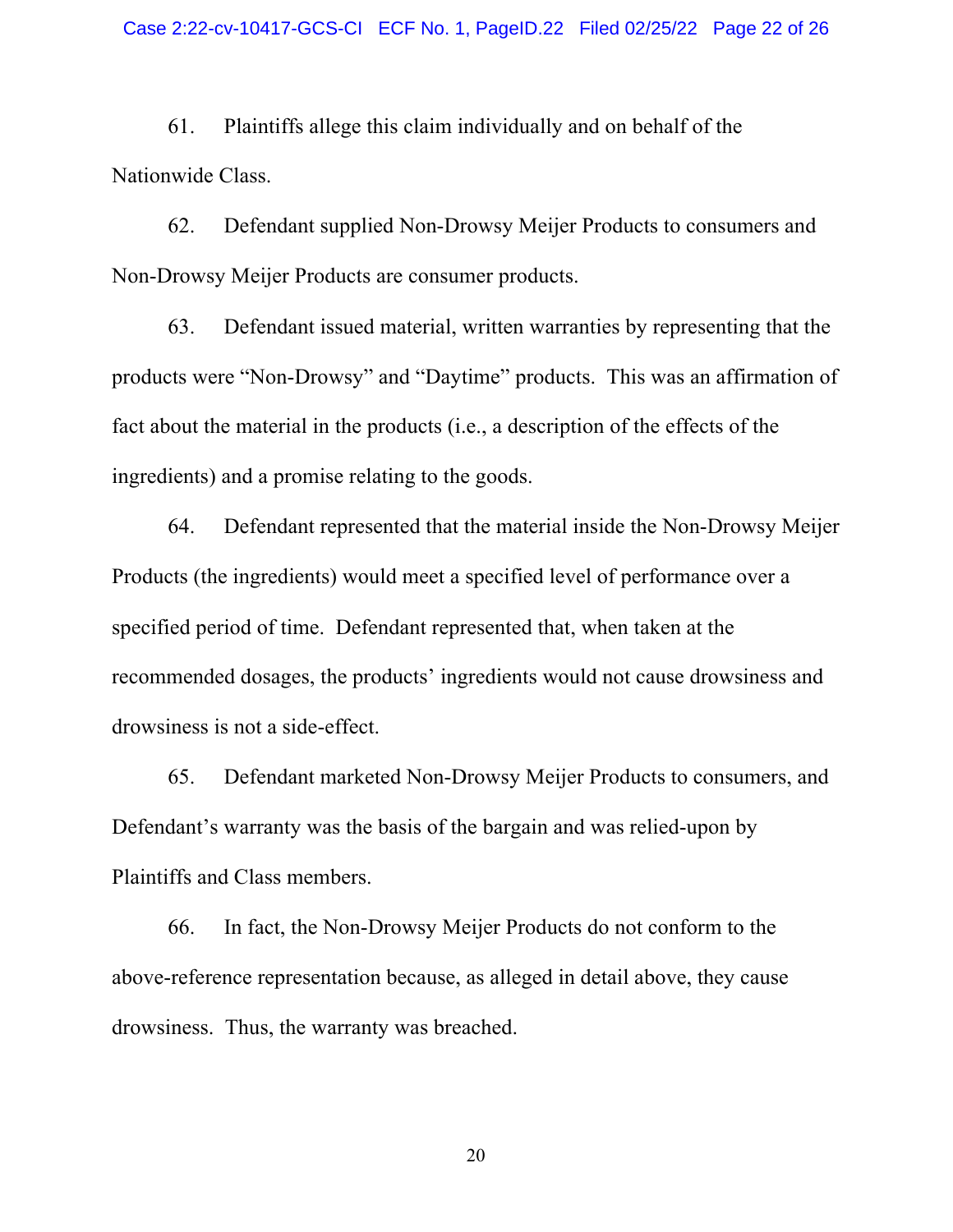61. Plaintiffs allege this claim individually and on behalf of the Nationwide Class.

62. Defendant supplied Non-Drowsy Meijer Products to consumers and Non-Drowsy Meijer Products are consumer products.

63. Defendant issued material, written warranties by representing that the products were "Non-Drowsy" and "Daytime" products. This was an affirmation of fact about the material in the products (i.e., a description of the effects of the ingredients) and a promise relating to the goods.

64. Defendant represented that the material inside the Non-Drowsy Meijer Products (the ingredients) would meet a specified level of performance over a specified period of time. Defendant represented that, when taken at the recommended dosages, the products' ingredients would not cause drowsiness and drowsiness is not a side-effect.

65. Defendant marketed Non-Drowsy Meijer Products to consumers, and Defendant's warranty was the basis of the bargain and was relied-upon by Plaintiffs and Class members.

66. In fact, the Non-Drowsy Meijer Products do not conform to the above-reference representation because, as alleged in detail above, they cause drowsiness. Thus, the warranty was breached.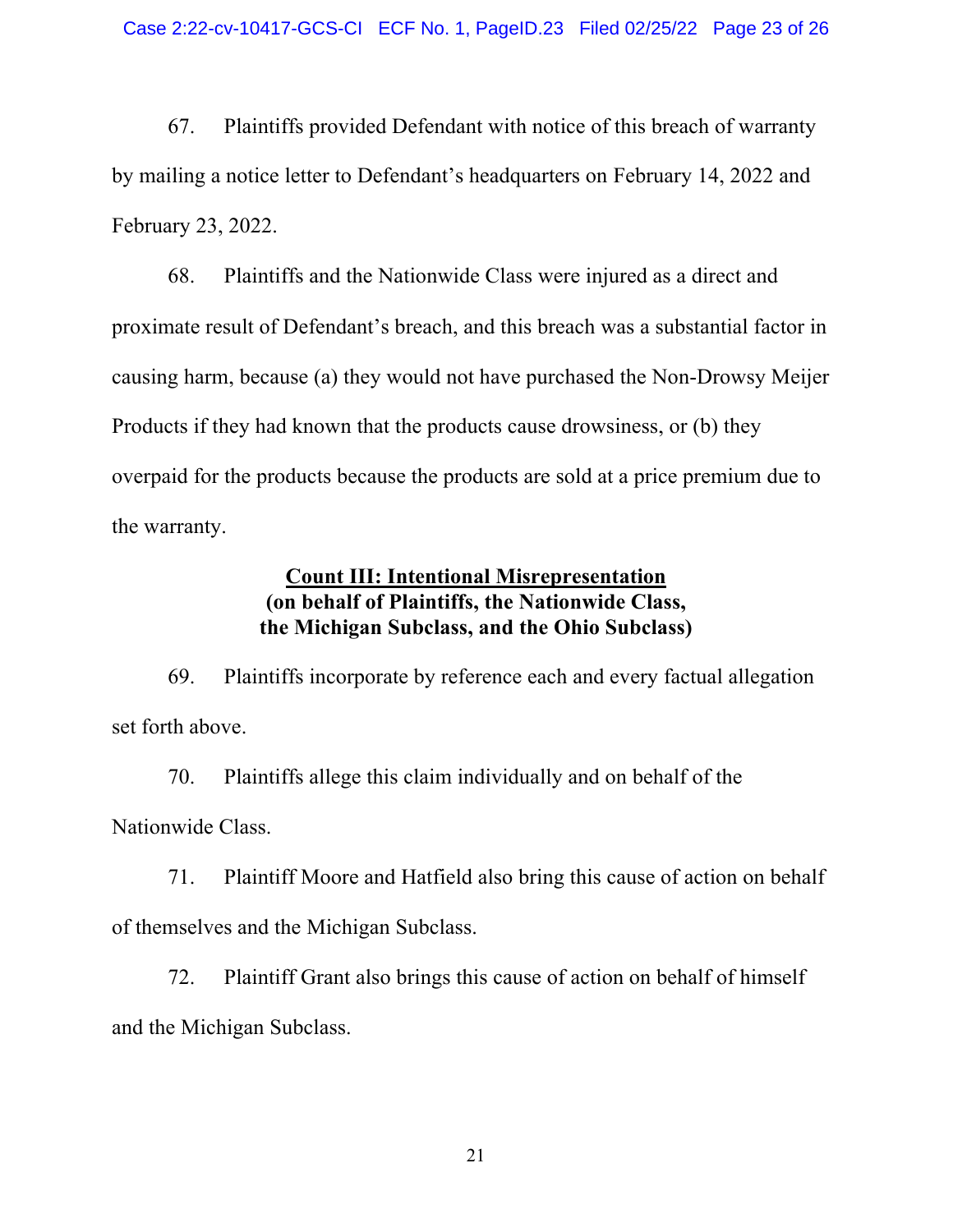67. Plaintiffs provided Defendant with notice of this breach of warranty by mailing a notice letter to Defendant's headquarters on February 14, 2022 and February 23, 2022.

68. Plaintiffs and the Nationwide Class were injured as a direct and proximate result of Defendant's breach, and this breach was a substantial factor in causing harm, because (a) they would not have purchased the Non-Drowsy Meijer Products if they had known that the products cause drowsiness, or (b) they overpaid for the products because the products are sold at a price premium due to the warranty.

### **Count III: Intentional Misrepresentation (on behalf of Plaintiffs, the Nationwide Class, the Michigan Subclass, and the Ohio Subclass)**

69. Plaintiffs incorporate by reference each and every factual allegation set forth above.

70. Plaintiffs allege this claim individually and on behalf of the Nationwide Class.

71. Plaintiff Moore and Hatfield also bring this cause of action on behalf of themselves and the Michigan Subclass.

72. Plaintiff Grant also brings this cause of action on behalf of himself and the Michigan Subclass.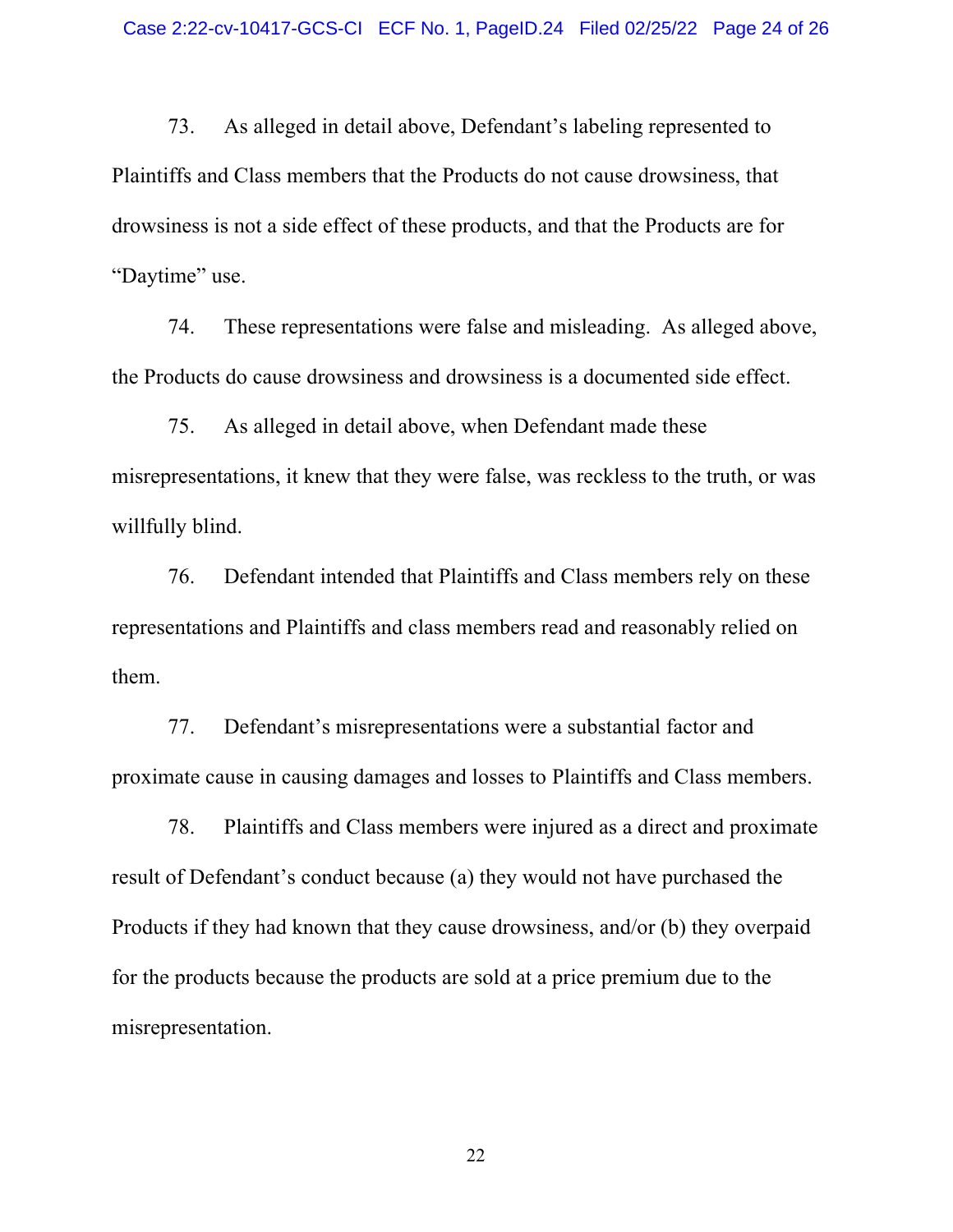73. As alleged in detail above, Defendant's labeling represented to Plaintiffs and Class members that the Products do not cause drowsiness, that drowsiness is not a side effect of these products, and that the Products are for "Daytime" use.

74. These representations were false and misleading. As alleged above, the Products do cause drowsiness and drowsiness is a documented side effect.

75. As alleged in detail above, when Defendant made these misrepresentations, it knew that they were false, was reckless to the truth, or was willfully blind.

76. Defendant intended that Plaintiffs and Class members rely on these representations and Plaintiffs and class members read and reasonably relied on them.

77. Defendant's misrepresentations were a substantial factor and proximate cause in causing damages and losses to Plaintiffs and Class members.

78. Plaintiffs and Class members were injured as a direct and proximate result of Defendant's conduct because (a) they would not have purchased the Products if they had known that they cause drowsiness, and/or (b) they overpaid for the products because the products are sold at a price premium due to the misrepresentation.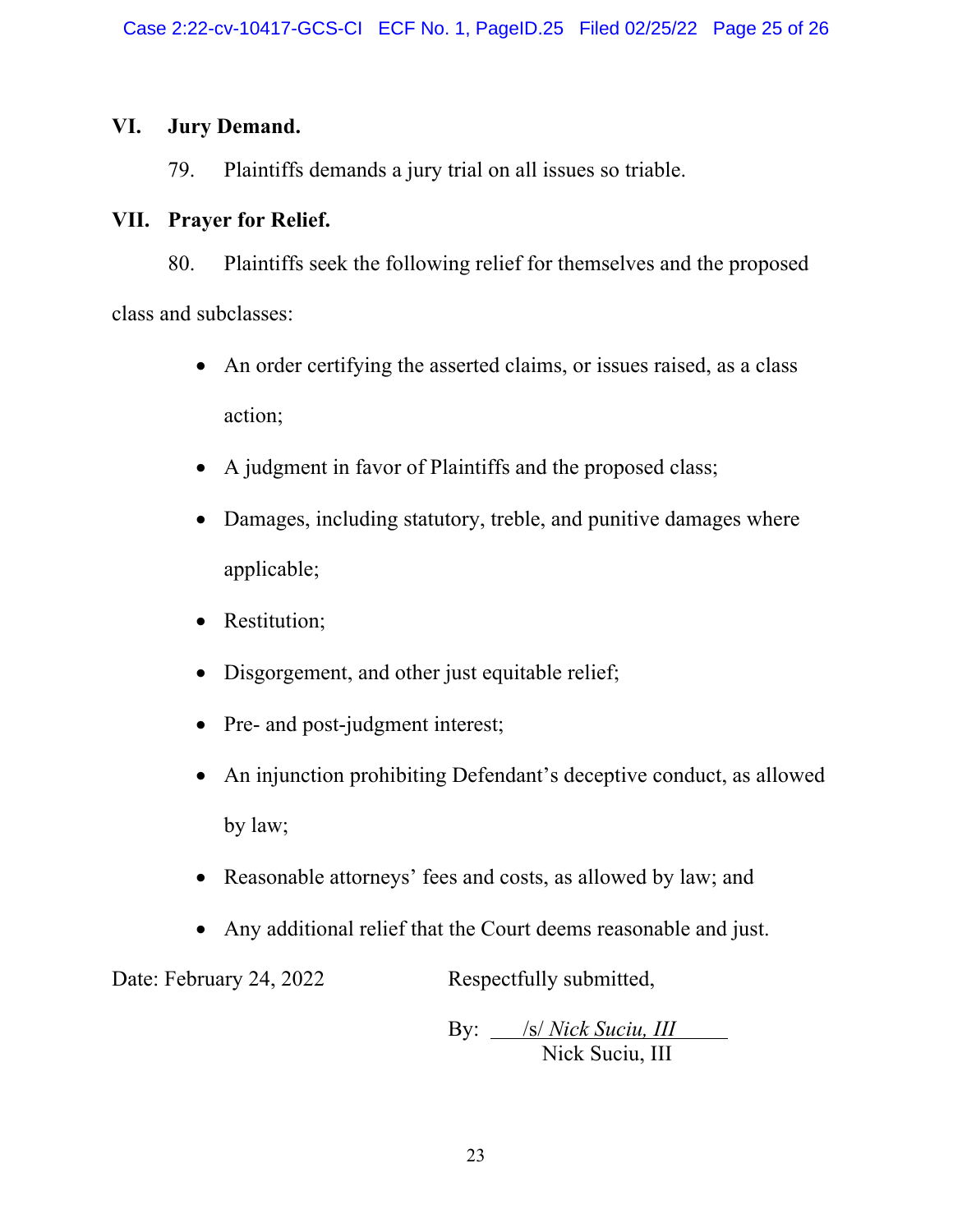## **VI. Jury Demand.**

79. Plaintiffs demands a jury trial on all issues so triable.

## **VII. Prayer for Relief.**

80. Plaintiffs seek the following relief for themselves and the proposed class and subclasses:

- An order certifying the asserted claims, or issues raised, as a class action;
- A judgment in favor of Plaintiffs and the proposed class;
- Damages, including statutory, treble, and punitive damages where applicable;
- Restitution;
- Disgorgement, and other just equitable relief;
- Pre- and post-judgment interest;
- An injunction prohibiting Defendant's deceptive conduct, as allowed by law;
- Reasonable attorneys' fees and costs, as allowed by law; and
- Any additional relief that the Court deems reasonable and just.

Date: February 24, 2022 Respectfully submitted,

By: *S/ Nick Suciu, III* Nick Suciu, III